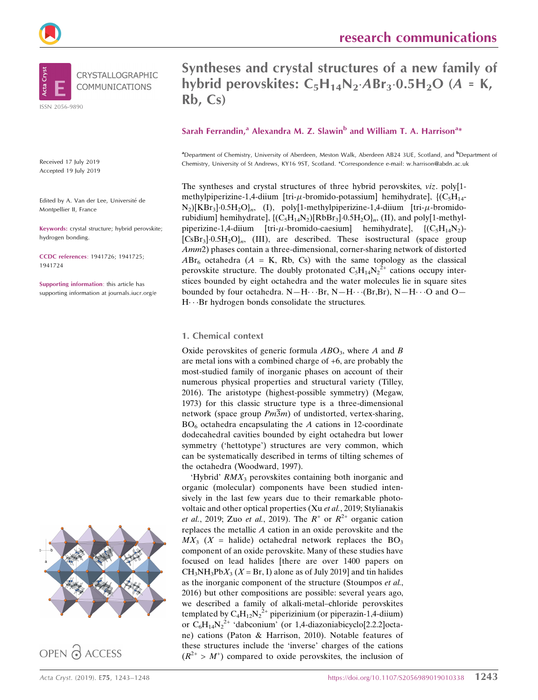

Received 17 July 2019 Accepted 19 July 2019

Edited by A. Van der Lee, Université de Montpellier II, France

Keywords: crystal structure; hybrid perovskite; hydrogen bonding.

CCDC references: 1941726; 1941725; 1941724

Supporting information: this article has supporting information at journals.iucr.org/e



## OPEN & ACCESS

## Syntheses and crystal structures of a new family of hybrid perovskites:  $C_5H_{14}N_2$ · $ABr_3$ · $0.5H_2O$  (A = K, Rb, Cs)

## Sarah Ferrandin,<sup>a</sup> Alexandra M. Z. Slawin<sup>b</sup> and William T. A. Harrison<sup>a\*</sup>

<sup>a</sup> Department of Chemistry, University of Aberdeen, Meston Walk, Aberdeen AB24 3UE, Scotland, and <sup>b</sup> Department of Chemistry, University of St Andrews, KY16 9ST, Scotland. \*Correspondence e-mail: w.harrison@abdn.ac.uk

The syntheses and crystal structures of three hybrid perovskites, viz. poly[1 methylpiperizine-1,4-diium [tri- $\mu$ -bromido-potassium] hemihydrate], {(C<sub>5</sub>H<sub>14</sub>- $N_2$ [KBr<sub>3</sub>] $\cdot 0.5H_2O$ ]<sub>n</sub>, (I), poly[1-methylpiperizine-1,4-diium [tri- $\mu$ -bromidorubidium] hemihydrate],  ${[(C_5H_{14}N_2)[RbBr_3] \cdot 0.5H_2O]}_n$ , (II), and poly[1-methylpiperizine-1,4-diium [tri- $\mu$ -bromido-caesium] hemihydrate], {(C<sub>5</sub>H<sub>14</sub>N<sub>2</sub>)- $[CsBr_3] \cdot 0.5H_2O$ <sub>n</sub>, (III), are described. These isostructural (space group Amm2) phases contain a three-dimensional, corner-sharing network of distorted  $ABr_6$  octahedra ( $A = K$ , Rb, Cs) with the same topology as the classical perovskite structure. The doubly protonated  $C_5H_{14}N_2^{2+}$  cations occupy interstices bounded by eight octahedra and the water molecules lie in square sites bounded by four octahedra.  $N-H\cdots Br$ ,  $N-H\cdots (Br,Br)$ ,  $N-H\cdots O$  and  $O-$ H---Br hydrogen bonds consolidate the structures.

## 1. Chemical context

Oxide perovskites of generic formula  $ABO<sub>3</sub>$ , where A and B are metal ions with a combined charge of +6, are probably the most-studied family of inorganic phases on account of their numerous physical properties and structural variety (Tilley, 2016). The aristotype (highest-possible symmetry) (Megaw, 1973) for this classic structure type is a three-dimensional network (space group  $Pm\overline{3}m$ ) of undistorted, vertex-sharing,  $BO<sub>6</sub>$  octahedra encapsulating the A cations in 12-coordinate dodecahedral cavities bounded by eight octahedra but lower symmetry ('hettotype') structures are very common, which can be systematically described in terms of tilting schemes of the octahedra (Woodward, 1997).

'Hybrid'  $RMX_3$  perovskites containing both inorganic and organic (molecular) components have been studied intensively in the last few years due to their remarkable photovoltaic and other optical properties (Xu et al., 2019; Stylianakis et al., 2019; Zuo et al., 2019). The  $R^+$  or  $R^{2+}$  organic cation replaces the metallic A cation in an oxide perovskite and the  $MX_3$  (X = halide) octahedral network replaces the BO<sub>3</sub> component of an oxide perovskite. Many of these studies have focused on lead halides [there are over 1400 papers on  $CH_3NH_3PbX_3$  (X = Br, I) alone as of July 2019] and tin halides as the inorganic component of the structure (Stoumpos et al., 2016) but other compositions are possible: several years ago, we described a family of alkali-metal–chloride perovskites templated by  $C_4H_{12}N_2^{2+}$  piperizinium (or piperazin-1,4-diium) or  $C_6H_{14}N_2^{2+}$  'dabconium' (or 1,4-diazoniabicyclo[2.2.2]octane) cations (Paton & Harrison, 2010). Notable features of these structures include the 'inverse' charges of the cations  $(R^{2+} > M^+)$  compared to oxide perovskites, the inclusion of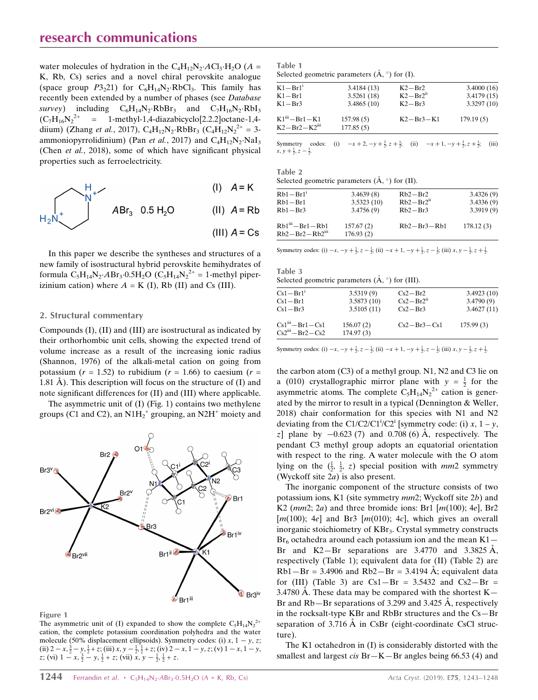## research communications

water molecules of hydration in the  $C_4H_{12}N_2$ · $ACl_3$ · $H_2O$  ( $A =$ K, Rb, Cs) series and a novel chiral perovskite analogue (space group  $P3_221$ ) for  $C_6H_{14}N_2 \cdot RbCl_3$ . This family has recently been extended by a number of phases (see Database survey) including  $C_6H_{14}N_2 \cdot RbBr_3$  and  $C_7H_{16}N_2 \cdot RbI_3$  $(C_7H_{16}N_2^{2+})$  $=$  1-methyl-1,4-diazabicyclo[2.2.2]octane-1,4diium) (Zhang *et al.*, 2017), C<sub>4</sub>H<sub>12</sub>N<sub>2</sub>·RbBr<sub>3</sub> (C<sub>4</sub>H<sub>12</sub>N<sub>2</sub><sup>2+</sup> = 3ammoniopyrrolidinium) (Pan *et al.*, 2017) and  $C_4H_{12}N_2 \cdot NaI_3$ (Chen et al., 2018), some of which have significant physical properties such as ferroelectricity.

$$
\bigwedge_{N^{+}}^{H} f
$$
 (I)  $A = K$ 

$$
H_2N^+
$$
  $ABr_3$  0.5  $H_2O$  (II)  $A = Rb$ 

 $(III)$   $A = Cs$ 

In this paper we describe the syntheses and structures of a new family of isostructural hybrid perovskite hemihydrates of formula  $C_5H_{14}N_2 \cdot ABr_3 \cdot 0.5H_2O(C_5H_{14}N_2^{2+} = 1$ -methyl piperizinium cation) where  $A = K (I)$ , Rb (II) and Cs (III).

### 2. Structural commentary

Compounds (I), (II) and (III) are isostructural as indicated by their orthorhombic unit cells, showing the expected trend of volume increase as a result of the increasing ionic radius (Shannon, 1976) of the alkali-metal cation on going from potassium ( $r = 1.52$ ) to rubidium ( $r = 1.66$ ) to caesium ( $r =$ 1.81  $\AA$ ). This description will focus on the structure of (I) and note significant differences for (II) and (III) where applicable.

The asymmetric unit of (I) (Fig. 1) contains two methylene groups (C1 and C2), an  $NH_2^+$  grouping, an N2H<sup>+</sup> moiety and



Figure 1

The asymmetric unit of (I) expanded to show the complete  $C_5H_{14}N_2^{2+}$ cation, the complete potassium coordination polyhedra and the water molecule (50% displacement ellipsoids). Symmetry codes: (i)  $x$ ,  $1 - y$ , z; (ii)  $2 - x$ ,  $\frac{3}{2} - y$ ,  $\frac{1}{2} + z$ ; (iii)  $x$ ,  $y - \frac{1}{2}$ ,  $\frac{1}{2} + z$ ; (iv)  $2 - x$ ,  $1 - y$ ,  $z$ ; (v)  $1 - x$ ,  $1 - y$ ,  $z$ ; (vi)  $1 - x$ ,  $\frac{3}{2} - y$ ,  $\frac{1}{2} + z$ ; (vii)  $x$ ,  $y - \frac{1}{2}$ ,  $\frac{1}{2} + z$ .

| Table 1                                                        |  |  |
|----------------------------------------------------------------|--|--|
| Selected geometric parameters $(\tilde{A}, \circ)$ for $(I)$ . |  |  |

| $K1 - Br11$       | 3.4184(13) | $K2 - Br2$      | 3.4000(16) |
|-------------------|------------|-----------------|------------|
| $K1 - Br1$        | 3.5261(18) | $K2 - Br2u$     | 3.4179(15) |
| $K1 - Br3$        | 3.4865(10) | $K2 - Br3$      | 3.3297(10) |
| $K1^{iii}-Br1-K1$ | 157.98(5)  | $K2 - Br3 - K1$ | 179.19(5)  |
| $K2 - Br2 - K2m$  | 177.85(5)  |                 |            |
|                   |            |                 |            |

Symmetry codes: (i)  $-x+2, -y+\frac{3}{2}, z+\frac{1}{2}$ ; (ii)  $-x+1, -y+\frac{3}{2}, z+\frac{1}{2}$ ; (iii)  $x, y + \frac{1}{2}, z - \frac{1}{2}$ 

Table 2 Selected geometric parameters  $(\mathring{A}, \degree)$  for (II).

| $Rb1 - Br1^1$                                            | 3.4639(8)              | $Rb2-Br2$     | 3.4326(9) |
|----------------------------------------------------------|------------------------|---------------|-----------|
| $Rh1 - Br1$                                              | 3.5323(10)             | $Rb2 - Br2ii$ | 3.4336(9) |
| $Rb1 - Br3$                                              | 3.4756(9)              | $Rb2-Br3$     | 3.3919(9) |
| $Rb1iii - Br1 - Rb1$<br>$Rb2 - Br2 - Rb2$ <sup>iii</sup> | 157.67(2)<br>176.93(2) | $Rb2-Br3-Rb1$ | 178.12(3) |

Symmetry codes: (i)  $-x$ ,  $-y + \frac{1}{2}$ ,  $z - \frac{1}{2}$ ; (ii)  $-x + 1$ ,  $-y + \frac{1}{2}$ ,  $z - \frac{1}{2}$ ; (iii)  $x$ ,  $y - \frac{1}{2}$ ,  $z + \frac{1}{2}$ .

Table 3 Selected geometric parameters  $(A, \circ)$  for (III).

| 3.4923(10) |
|------------|
|            |
| 3.4790(9)  |
| 3.4627(11) |
| 175.99(3)  |
|            |
|            |

Symmetry codes: (i)  $-x$ ,  $-y + \frac{1}{2}$ ,  $z - \frac{1}{2}$ ; (ii)  $-x + 1$ ,  $-y + \frac{1}{2}$ ,  $z - \frac{1}{2}$ ; (iii)  $x$ ,  $y - \frac{1}{2}$ ,  $z + \frac{1}{2}$ .

the carbon atom (C3) of a methyl group. N1, N2 and C3 lie on a (010) crystallographic mirror plane with  $y = \frac{1}{2}$  for the asymmetric atoms. The complete  $C_5H_{14}N_2^{2+}$  cation is generated by the mirror to result in a typical (Dennington & Weller, 2018) chair conformation for this species with N1 and N2 deviating from the C1/C2/C1<sup>i</sup>/C2<sup>i</sup> [symmetry code: (i)  $x$ , 1 –  $y$ , z] plane by  $-0.623$  (7) and 0.708 (6) A, respectively. The pendant C3 methyl group adopts an equatorial orientation with respect to the ring. A water molecule with the O atom lying on the  $(\frac{1}{2}, \frac{1}{2}, z)$  special position with mm2 symmetry (Wyckoff site 2a) is also present.

The inorganic component of the structure consists of two potassium ions, K1 (site symmetry mm2; Wyckoff site 2b) and K2 ( $mm2$ ; 2a) and three bromide ions: Br1 [ $m(100)$ ; 4e], Br2  $[m(100); 4e]$  and Br3  $[m(010); 4c]$ , which gives an overall inorganic stoichiometry of KBr<sub>3</sub>. Crystal symmetry constructs  $Br_6$  octahedra around each potassium ion and the mean  $K1-$ Br and K2—Br separations are  $3.4770$  and  $3.3825 \text{ Å}$ , respectively (Table 1); equivalent data for (II) (Table 2) are  $Rb1 - Br = 3.4906$  and  $Rb2 - Br = 3.4194$  Å; equivalent data for (III) (Table 3) are  $Cs1-Br = 3.5432$  and  $Cs2-Br =$ 3.4780 Å. These data may be compared with the shortest  $K-$ Br and  $Rb$ —Br separations of 3.299 and 3.425  $\dot{A}$ , respectively in the rocksalt-type KBr and RbBr structures and the Cs—Br separation of  $3.716 \text{ Å}$  in CsBr (eight-coordinate CsCl structure).

The K1 octahedron in (I) is considerably distorted with the smallest and largest *cis*  $Br - K - Br$  angles being 66.53 (4) and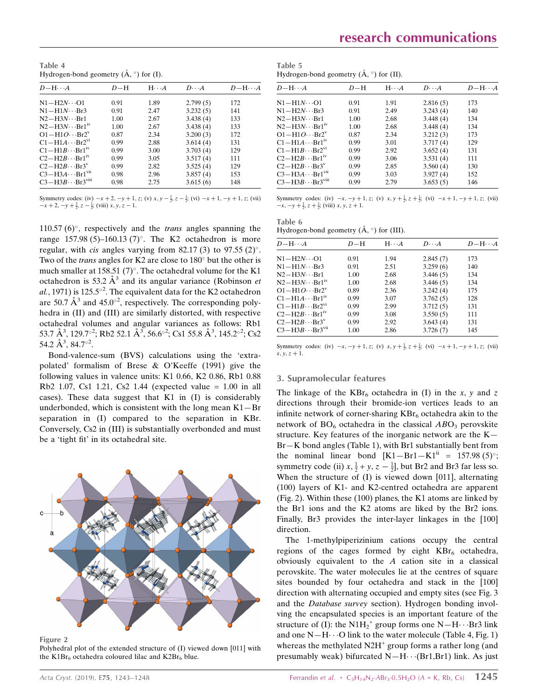Table 4 Hydrogen-bond geometry  $(\AA, \degree)$  for (I).

| $D$ -H $\cdots$ A                    | $D-H$ | $H \cdot \cdot \cdot A$ | $D\cdots A$ | $D-H\cdots A$ |
|--------------------------------------|-------|-------------------------|-------------|---------------|
| $N1 - H2N \cdots 01$                 | 0.91  | 1.89                    | 2.799(5)    | 172           |
| $N1 - H1N \cdots Br3$                | 0.91  | 2.47                    | 3.232(5)    | 141           |
| $N2 - H3N \cdots Br1$                | 1.00  | 2.67                    | 3.438(4)    | 133           |
| $N2 - H3N \cdots Br1$ <sup>iv</sup>  | 1.00  | 2.67                    | 3.438(4)    | 133           |
| $O1 - H1O \cdots Br2^v$              | 0.87  | 2.34                    | 3.200(3)    | 172           |
| $C1 - H1A \cdots Br2^{vi}$           | 0.99  | 2.88                    | 3.614(4)    | 131           |
| $C1 - H1B \cdot Br1^{iv}$            | 0.99  | 3.00                    | 3.703(4)    | 129           |
| $C2-H2B \cdot \cdot Br1^{iv}$        | 0.99  | 3.05                    | 3.517(4)    | 111           |
| $C2 - H2B \cdots Br3^v$              | 0.99  | 2.82                    | 3.525(4)    | 129           |
| $C3 - H3A \cdots Br1$ <sup>vii</sup> | 0.98  | 2.96                    | 3.857(4)    | 153           |
| $C3 - H3B \cdot$ Br3 <sup>vIII</sup> | 0.98  | 2.75                    | 3.615(6)    | 148           |
|                                      |       |                         |             |               |

Symmetry codes: (iv)  $-x + 2$ ,  $-y + 1$ , z; (v)  $x, y - \frac{1}{2}$ ,  $z - \frac{1}{2}$ ; (vi)  $-x + 1$ ,  $-y + 1$ , z; (vii)  $-x+2, -y+\frac{3}{2}, z-\frac{1}{2}$ ; (viii)  $x, y, z-1$ .

110.57 (6) $^{\circ}$ , respectively and the *trans* angles spanning the range 157.98 (5)–160.13 (7)°. The K2 octahedron is more regular, with *cis* angles varying from 82.17 (3) to 97.55 (2)°. Two of the *trans* angles for K2 are close to  $180^\circ$  but the other is much smaller at 158.51 (7) $^{\circ}$ . The octahedral volume for the K1 octahedron is 53.2  $A^3$  and its angular variance (Robinson *et* al., 1971) is 125.5 $^{\circ2}$ . The equivalent data for the K2 octahedron are 50.7  $\AA^3$  and 45.0°<sup>2</sup>, respectively. The corresponding polyhedra in (II) and (III) are similarly distorted, with respective octahedral volumes and angular variances as follows: Rb1 53.7  $\AA^3$ , 129.7<sup>°2</sup>; Rb2 52.1  $\AA^3$ , 56.6<sup>°2</sup>; Cs1 55.8  $\AA^3$ , 145.2<sup>°2</sup>; Cs2 54.2  $\mathring{A}^3$ , 84.7<sup>o2</sup>.

Bond-valence-sum (BVS) calculations using the 'extrapolated' formalism of Brese & O'Keeffe (1991) give the following values in valence units: K1 0.66, K2 0.86, Rb1 0.88 Rb2 1.07, Cs1 1.21, Cs2 1.44 (expected value = 1.00 in all cases). These data suggest that K1 in (I) is considerably underbonded, which is consistent with the long mean  $K1 - Br$ separation in (I) compared to the separation in KBr. Conversely, Cs2 in (III) is substantially overbonded and must be a 'tight fit' in its octahedral site.



Figure 2

Polyhedral plot of the extended structure of (I) viewed down [011] with the K1B $r_6$  octahedra coloured lilac and K2B $r_6$  blue.

Table 5 Hydrogen-bond geometry  $(\AA, \degree)$  for (II).

| $D - H \cdots A$                      | $D-H$ | $H \cdot \cdot \cdot A$ | $D\cdot\cdot\cdot A$ | $D-H\cdots A$ |
|---------------------------------------|-------|-------------------------|----------------------|---------------|
| $N1 - H1N \cdots 01$                  | 0.91  | 1.91                    | 2.816(5)             | 173           |
| $N1 - H2N \cdots Br3$                 | 0.91  | 2.49                    | 3.243(4)             | 140           |
| $N2 - H3N \cdots Br1$                 | 1.00  | 2.68                    | 3.448(4)             | 134           |
| $N2 - H3N \cdots Br1$ <sup>iv</sup>   | 1.00  | 2.68                    | 3.448(4)             | 134           |
| $O1 - H1O \cdots Br2^v$               | 0.87  | 2.34                    | 3.212(3)             | 173           |
| $Cl = H1A \cdots Br1iv$               | 0.99  | 3.01                    | 3.717(4)             | 129           |
| $C1 - H1B \cdots Br2^{vi}$            | 0.99  | 2.92                    | 3.652(4)             | 131           |
| $C2-H2B \cdots Br1^{iv}$              | 0.99  | 3.06                    | 3.531(4)             | 111           |
| $C2 - H2B \cdot Br3^v$                | 0.99  | 2.85                    | 3.560(4)             | 130           |
| $C3 - H3A \cdots Br1$ <sup>vii</sup>  | 0.99  | 3.03                    | 3.927(4)             | 152           |
| $C3 - H3B \cdots Br3$ <sup>viii</sup> | 0.99  | 2.79                    | 3.653(5)             | 146           |

Symmetry codes: (iv)  $-x, -y + 1, z$ ; (v)  $x, y + \frac{1}{2}, z + \frac{1}{2}$ ; (vi)  $-x + 1, -y + 1, z$ ; (vii)  $-x, -y + \frac{1}{2}, z + \frac{1}{2}$ ; (viii) x, y, z + 1.

Table 6 Hydrogen-bond geometry  $(A, \circ)$  for (III).

| $D-\mathrm{H}\cdots A$               | $D - H$ | $H \cdot \cdot \cdot A$ | $D\cdots A$ | $D - H \cdots A$ |
|--------------------------------------|---------|-------------------------|-------------|------------------|
| $N1 - H2N \cdot \cdot \cdot O1$      | 0.91    | 1.94                    | 2.845(7)    | 173              |
| $N1 - H1N \cdots Br3$                | 0.91    | 2.51                    | 3.259(6)    | 140              |
| $N2 - H3N \cdots Br1$                | 1.00    | 2.68                    | 3.446(5)    | 134              |
| $N2 - H3N \cdot Br1^{\text{iv}}$     | 1.00    | 2.68                    | 3.446(5)    | 134              |
| $O1 - H1O \cdot Br2^v$               | 0.89    | 2.36                    | 3.242(4)    | 175              |
| $C1 - H1A \cdots Br1iv$              | 0.99    | 3.07                    | 3.762(5)    | 128              |
| $C1 - H1B \cdot \cdot Br2^{vi}$      | 0.99    | 2.99                    | 3.712(5)    | 131              |
| $C2-H2B \cdots Br1^{iv}$             | 0.99    | 3.08                    | 3.550(5)    | 111              |
| $C2 - H2B \cdots Br3^v$              | 0.99    | 2.92                    | 3.643(4)    | 131              |
| $C3 - H3B \cdots Br3$ <sup>vii</sup> | 1.00    | 2.86                    | 3.726(7)    | 145              |

Symmetry codes: (iv)  $-x, -y + 1, z$ ; (v)  $x, y + \frac{1}{2}, z + \frac{1}{2}$ ; (vi)  $-x + 1, -y + 1, z$ ; (vii)  $x, y, z + 1.$ 

#### 3. Supramolecular features

The linkage of the KBr<sub>6</sub> octahedra in (I) in the x, y and z directions through their bromide-ion vertices leads to an infinite network of corner-sharing  $KBr_6$  octahedra akin to the network of  $BO<sub>6</sub>$  octahedra in the classical  $ABO<sub>3</sub>$  perovskite structure. Key features of the inorganic network are the K— Br—K bond angles (Table 1), with Br1 substantially bent from the nominal linear bond  $[K1 - Br1 - K1<sup>ii</sup> = 157.98 (5)<sup>o</sup>;$ symmetry code (ii)  $x, \frac{1}{2} + y, z - \frac{1}{2}$ , but Br2 and Br3 far less so. When the structure of (I) is viewed down [011], alternating (100) layers of K1- and K2-centred octahedra are apparent (Fig. 2). Within these (100) planes, the K1 atoms are linked by the Br1 ions and the K2 atoms are liked by the Br2 ions. Finally, Br3 provides the inter-layer linkages in the [100] direction.

The 1-methylpiperizinium cations occupy the central regions of the cages formed by eight  $KBr_6$  octahedra, obviously equivalent to the A cation site in a classical perovskite. The water molecules lie at the centres of square sites bounded by four octahedra and stack in the [100] direction with alternating occupied and empty sites (see Fig. 3 and the Database survey section). Hydrogen bonding involving the encapsulated species is an important feature of the structure of (I): the  $NH_2^+$  group forms one  $N-H\cdots Br3$  link and one  $N-H\cdots$ O link to the water molecule (Table 4, Fig. 1) whereas the methylated  $N2H^+$  group forms a rather long (and presumably weak) bifurcated  $N-H \cdots (Br1,Br1)$  link. As just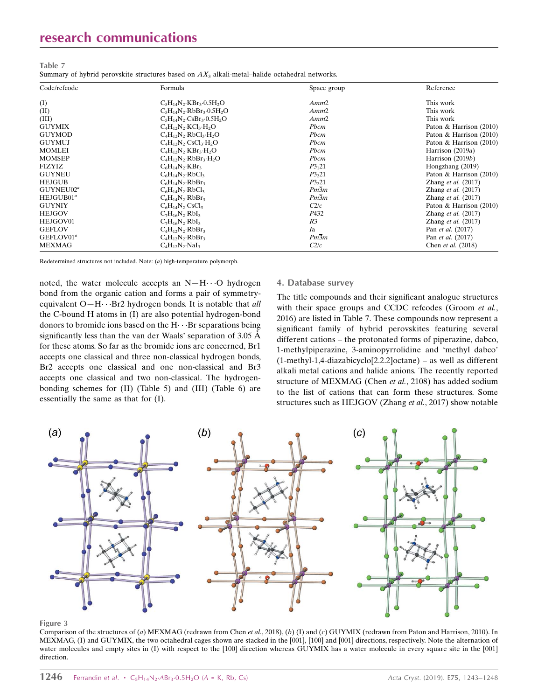## research communications

### Table 7 Summary of hybrid perovskite structures based on  $AX_3$  alkali-metal–halide octahedral networks.

| Code/refcode          | Formula                                                 | Space group       | Reference                    |
|-----------------------|---------------------------------------------------------|-------------------|------------------------------|
| (I)                   | $C_5H_{14}N_2$ KBr <sub>3</sub> 0.5H <sub>2</sub> O     | Amm2              | This work                    |
| (II)                  | $C_5H_{14}N_2$ . RbBr <sub>3</sub> .0.5H <sub>2</sub> O | Amm2              | This work                    |
| (III)                 | $C_5H_{14}N_2 \cdot C_5Br_3 \cdot 0.5H_2O$              | Amm2              | This work                    |
| <b>GUYMIX</b>         | $C_4H_{12}N_2$ KCl <sub>3</sub> H <sub>2</sub> O        | Pbcm              | Paton & Harrison (2010)      |
| <b>GUYMOD</b>         | $C_4H_{12}N_2$ . RbCl <sub>3</sub> . H <sub>2</sub> O   | Pbcm              | Paton & Harrison (2010)      |
| <b>GUYMUJ</b>         | $C_4H_{12}N_2 \cdot C_5Cl_3 \cdot H_2O$                 | Pbcm              | Paton & Harrison (2010)      |
| <b>MOMLEI</b>         | $C_4H_{12}N_2$ KBr <sub>3</sub> H <sub>2</sub> O        | Pbcm              | Harrison $(2019a)$           |
| <b>MOMSEP</b>         | $C_4H_{12}N_2$ RbBr <sub>3</sub> $H_2O$                 | Pbcm              | Harrison (2019b)             |
| <b>FIZYIZ</b>         | $C_6H_{14}N_2 \cdot KBr_3$                              | $P3_121$          | Hongzhang (2019)             |
| <b>GUYNEU</b>         | $C_6H_{14}N_2$ RbCl <sub>3</sub>                        | P3,21             | Paton & Harrison (2010)      |
| <b>HEJGUB</b>         | $C_6H_{14}N_2$ . RbBr <sub>3</sub>                      | P3,21             | Zhang et al. $(2017)$        |
| GUYNEU02 <sup>a</sup> | $C_6H_{14}N_2 \cdot RbCl_3$                             | Pm3m              | Zhang et al. $(2017)$        |
| HEJGUB01 <sup>a</sup> | $C_6H_{14}N_2$ . RbBr <sub>3</sub>                      | $Pm\overline{3}m$ | Zhang et al. $(2017)$        |
| <b>GUYNIY</b>         | $C_6H_{14}N_2 \cdot CsCl_3$                             | C2/c              | Paton & Harrison (2010)      |
| <b>HEJGOV</b>         | $C_7H_{16}N_2 \cdot RbI_3$                              | P <sub>432</sub>  | Zhang <i>et al.</i> $(2017)$ |
| HEJGOV01              | $C_7H_{16}N_2$ RbI <sub>3</sub>                         | R <sub>3</sub>    | Zhang <i>et al.</i> $(2017)$ |
| <b>GEFLOV</b>         | $C_4H_{12}N_2$ RbBr <sub>3</sub>                        | Ia                | Pan et al. (2017)            |
| GEFLOVO1 <sup>a</sup> | $C_4H_{12}N_2$ . RbBr <sub>3</sub>                      | Pm3m              | Pan <i>et al.</i> (2017)     |
| <b>MEXMAG</b>         | $C_4H_{12}N_2$ ·NaI <sub>3</sub>                        | C2/c              | Chen <i>et al.</i> (2018)    |

Redetermined structures not included. Note: (a) high-temperature polymorph.

noted, the water molecule accepts an  $N-H\cdots O$  hydrogen bond from the organic cation and forms a pair of symmetryequivalent O-H···Br2 hydrogen bonds. It is notable that all the C-bound H atoms in (I) are also potential hydrogen-bond donors to bromide ions based on the H···Br separations being significantly less than the van der Waals' separation of  $3.05 \text{ Å}$ for these atoms. So far as the bromide ions are concerned, Br1 accepts one classical and three non-classical hydrogen bonds, Br2 accepts one classical and one non-classical and Br3 accepts one classical and two non-classical. The hydrogenbonding schemes for (II) (Table 5) and (III) (Table 6) are essentially the same as that for (I).

## 4. Database survey

The title compounds and their significant analogue structures with their space groups and CCDC refcodes (Groom et al., 2016) are listed in Table 7. These compounds now represent a significant family of hybrid perovskites featuring several different cations – the protonated forms of piperazine, dabco, 1-methylpiperazine, 3-aminopyrrolidine and 'methyl dabco' (1-methyl-1,4-diazabicyclo[2.2.2]octane) – as well as different alkali metal cations and halide anions. The recently reported structure of MEXMAG (Chen et al., 2108) has added sodium to the list of cations that can form these structures. Some structures such as HEJGOV (Zhang et al., 2017) show notable



#### Figure 3

Comparison of the structures of (a) MEXMAG (redrawn from Chen et al., 2018), (b) (I) and (c) GUYMIX (redrawn from Paton and Harrison, 2010). In MEXMAG, (I) and GUYMIX, the two octahedral cages shown are stacked in the [001], [100] and [001] directions, respectively. Note the alternation of water molecules and empty sites in (I) with respect to the [100] direction whereas GUYMIX has a water molecule in every square site in the [001] direction.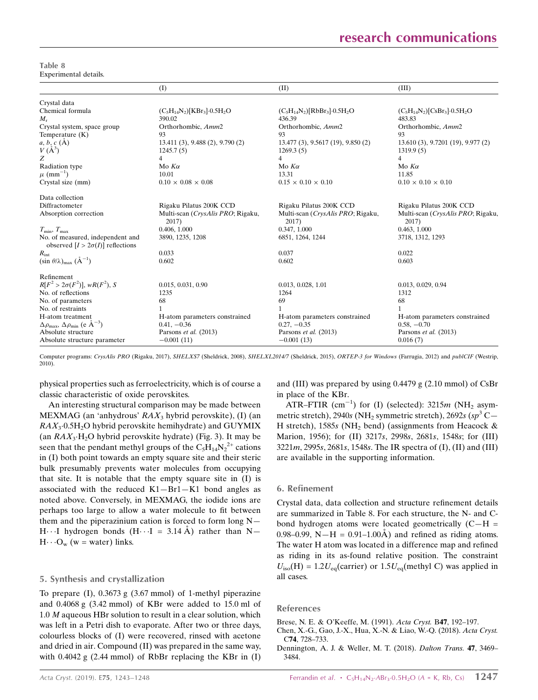Table 8 Experimental details.

|                                                                             | $\rm (I)$                                  | (II)                                       | (III)                                      |
|-----------------------------------------------------------------------------|--------------------------------------------|--------------------------------------------|--------------------------------------------|
| Crystal data                                                                |                                            |                                            |                                            |
| Chemical formula                                                            | $(C_5H_{14}N_2)[KBr_3]\cdot 0.5H_2O$       | $(C_5H_{14}N_2)[RbBr_3] \cdot 0.5H_2O$     | $(C_5H_{14}N_2)[C_5Br_3] \cdot 0.5H_2O$    |
| $M_{\rm r}$                                                                 | 390.02                                     | 436.39                                     | 483.83                                     |
| Crystal system, space group                                                 | Orthorhombic, Amm2                         | Orthorhombic, Amm2                         | Orthorhombic, Amm2                         |
| Temperature (K)                                                             | 93                                         | 93                                         | 93                                         |
| a, b, c(A)                                                                  | 13.411 (3), 9.488 (2), 9.790 (2)           | 13.477 (3), 9.5617 (19), 9.850 (2)         | 13.610 (3), 9.7201 (19), 9.977 (2)         |
| $V(\AA^3)$                                                                  | 1245.7(5)                                  | 1269.3(5)                                  | 1319.9(5)                                  |
| Ζ                                                                           | 4                                          | $\overline{4}$                             | $\overline{4}$                             |
| Radiation type                                                              | Mo $K\alpha$                               | Mo $K\alpha$                               | Mo $K\alpha$                               |
| $\mu$ (mm <sup>-1</sup> )                                                   | 10.01                                      | 13.31                                      | 11.85                                      |
| Crystal size (mm)                                                           | $0.10 \times 0.08 \times 0.08$             | $0.15 \times 0.10 \times 0.10$             | $0.10 \times 0.10 \times 0.10$             |
| Data collection                                                             |                                            |                                            |                                            |
| Diffractometer                                                              | Rigaku Pilatus 200K CCD                    | Rigaku Pilatus 200K CCD                    | Rigaku Pilatus 200K CCD                    |
| Absorption correction                                                       | Multi-scan (CrysAlis PRO; Rigaku,<br>2017) | Multi-scan (CrysAlis PRO; Rigaku,<br>2017) | Multi-scan (CrysAlis PRO; Rigaku,<br>2017) |
| $T_{\min}, T_{\max}$                                                        | 0.406, 1.000                               | 0.347, 1.000                               | 0.463, 1.000                               |
| No. of measured, independent and<br>observed $[I > 2\sigma(I)]$ reflections | 3890, 1235, 1208                           | 6851, 1264, 1244                           | 3718, 1312, 1293                           |
| $R_{\rm int}$                                                               | 0.033                                      | 0.037                                      | 0.022                                      |
| $(\sin \theta/\lambda)_{\text{max}} (\AA^{-1})$                             | 0.602                                      | 0.602                                      | 0.603                                      |
| Refinement                                                                  |                                            |                                            |                                            |
| $R[F^2 > 2\sigma(F^2)], wR(F^2), S$                                         | 0.015, 0.031, 0.90                         | 0.013, 0.028, 1.01                         | 0.013, 0.029, 0.94                         |
| No. of reflections                                                          | 1235                                       | 1264                                       | 1312                                       |
| No. of parameters                                                           | 68                                         | 69                                         | 68                                         |
| No. of restraints                                                           |                                            |                                            |                                            |
| H-atom treatment                                                            | H-atom parameters constrained              | H-atom parameters constrained              | H-atom parameters constrained              |
| $\Delta \rho_{\text{max}}$ , $\Delta \rho_{\text{min}}$ (e $\AA^{-3}$ )     | $0.41, -0.36$                              | $0.27, -0.35$                              | $0.58, -0.70$                              |
| Absolute structure                                                          | Parsons et al. (2013)                      | Parsons et al. (2013)                      | Parsons et al. (2013)                      |
| Absolute structure parameter                                                | $-0.001(11)$                               | $-0.001(13)$                               | 0.016(7)                                   |

Computer programs: CrysAlis PRO (Rigaku, 2017), SHELXS7 (Sheldrick, 2008), SHELXL2014/7 (Sheldrick, 2015), ORTEP-3 for Windows (Farrugia, 2012) and publCIF (Westrip, 2010).

physical properties such as ferroelectricity, which is of course a classic characteristic of oxide perovskites.

An interesting structural comparison may be made between MEXMAG (an 'anhydrous'  $RAX_3$  hybrid perovskite), (I) (an RAX3-0.5H2O hybrid perovskite hemihydrate) and GUYMIX (an  $RAX_3 \cdot H_2O$  hybrid perovskite hydrate) (Fig. 3). It may be seen that the pendant methyl groups of the  $C_5H_{14}N_2^{2+}$  cations in (I) both point towards an empty square site and their steric bulk presumably prevents water molecules from occupying that site. It is notable that the empty square site in (I) is associated with the reduced  $K1 - Br1 - K1$  bond angles as noted above. Conversely, in MEXMAG, the iodide ions are perhaps too large to allow a water molecule to fit between them and the piperazinium cation is forced to form long  $N-$ H $\cdots$ I hydrogen bonds (H $\cdots$ I = 3.14 Å) rather than N- $H \cdot \cdot O_w$  (w = water) links.

## 5. Synthesis and crystallization

To prepare (I), 0.3673 g (3.67 mmol) of 1-methyl piperazine and 0.4068 g (3.42 mmol) of KBr were added to 15.0 ml of  $1.0 M$  aqueous HBr solution to result in a clear solution, which was left in a Petri dish to evaporate. After two or three days, colourless blocks of (I) were recovered, rinsed with acetone and dried in air. Compound (II) was prepared in the same way, with 0.4042 g (2.44 mmol) of RbBr replacing the KBr in (I) and (III) was prepared by using 0.4479 g (2.10 mmol) of CsBr in place of the KBr.

ATR–FTIR  $(cm^{-1})$  for (I) (selected): 3215m (NH<sub>2</sub> asymmetric stretch), 2940s (NH<sub>2</sub> symmetric stretch), 2692s ( $sp<sup>3</sup>$ C $-$ H stretch), 1585s (NH<sub>2</sub> bend) (assignments from Heacock  $\&$ Marion, 1956); for (II) 3217s, 2998s, 2681s, 1548s; for (III) 3221m, 2995s, 2681s, 1548s. The IR spectra of (I), (II) and (III) are available in the supporting information.

## 6. Refinement

Crystal data, data collection and structure refinement details are summarized in Table 8. For each structure, the N- and Cbond hydrogen atoms were located geometrically  $(C-H =$ 0.98–0.99, N-H =  $0.91-1.00\text{\AA}$ ) and refined as riding atoms. The water H atom was located in a difference map and refined as riding in its as-found relative position. The constraint  $U_{\text{iso}}(H) = 1.2U_{\text{eq}}(\text{carrier})$  or  $1.5U_{\text{eq}}(\text{methyl C})$  was applied in all cases.

#### References

- [Brese, N. E. & O'Keeffe, M. \(1991\).](http://scripts.iucr.org/cgi-bin/cr.cgi?rm=pdfbb&cnor=vn2151&bbid=BB1) Acta Cryst. B47, 192–197.
- [Chen, X.-G., Gao, J.-X., Hua, X.-N. & Liao, W.-Q. \(2018\).](http://scripts.iucr.org/cgi-bin/cr.cgi?rm=pdfbb&cnor=vn2151&bbid=BB2) Acta Cryst. C74[, 728–733.](http://scripts.iucr.org/cgi-bin/cr.cgi?rm=pdfbb&cnor=vn2151&bbid=BB2)
- [Dennington, A. J. & Weller, M. T. \(2018\).](http://scripts.iucr.org/cgi-bin/cr.cgi?rm=pdfbb&cnor=vn2151&bbid=BB3) Dalton Trans. 47, 3469– [3484.](http://scripts.iucr.org/cgi-bin/cr.cgi?rm=pdfbb&cnor=vn2151&bbid=BB3)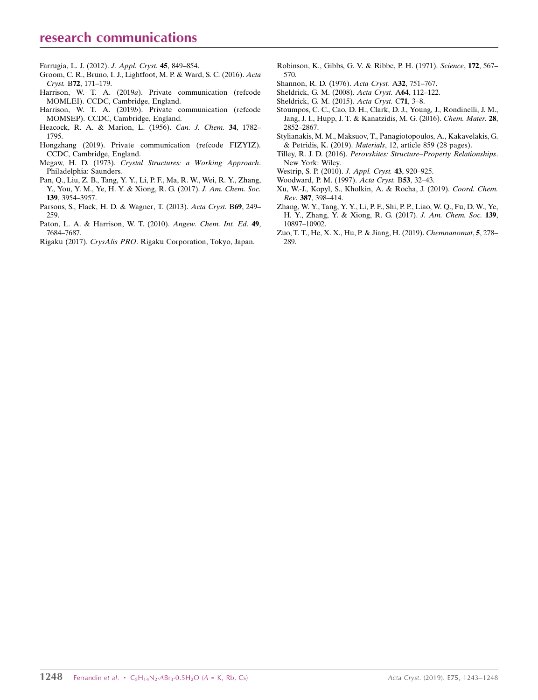## research communications

- [Farrugia, L. J. \(2012\).](http://scripts.iucr.org/cgi-bin/cr.cgi?rm=pdfbb&cnor=vn2151&bbid=BB26) J. Appl. Cryst. 45, 849–854.
- [Groom, C. R., Bruno, I. J., Lightfoot, M. P. & Ward, S. C. \(2016\).](http://scripts.iucr.org/cgi-bin/cr.cgi?rm=pdfbb&cnor=vn2151&bbid=BB5) Acta Cryst. B72[, 171–179.](http://scripts.iucr.org/cgi-bin/cr.cgi?rm=pdfbb&cnor=vn2151&bbid=BB5)
- Harrison, W. T. A. (2019a[\). Private communication \(refcode](http://scripts.iucr.org/cgi-bin/cr.cgi?rm=pdfbb&cnor=vn2151&bbid=BB6) [MOMLEI\). CCDC, Cambridge, England.](http://scripts.iucr.org/cgi-bin/cr.cgi?rm=pdfbb&cnor=vn2151&bbid=BB6)
- Harrison, W. T. A. (2019b[\). Private communication \(refcode](http://scripts.iucr.org/cgi-bin/cr.cgi?rm=pdfbb&cnor=vn2151&bbid=BB7) [MOMSEP\). CCDC, Cambridge, England.](http://scripts.iucr.org/cgi-bin/cr.cgi?rm=pdfbb&cnor=vn2151&bbid=BB7)
- [Heacock, R. A. & Marion, L. \(1956\).](http://scripts.iucr.org/cgi-bin/cr.cgi?rm=pdfbb&cnor=vn2151&bbid=BB8) Can. J. Chem. 34, 1782– [1795.](http://scripts.iucr.org/cgi-bin/cr.cgi?rm=pdfbb&cnor=vn2151&bbid=BB8)
- [Hongzhang \(2019\). Private communication \(refcode FIZYIZ\).](http://scripts.iucr.org/cgi-bin/cr.cgi?rm=pdfbb&cnor=vn2151&bbid=BB9) [CCDC, Cambridge, England.](http://scripts.iucr.org/cgi-bin/cr.cgi?rm=pdfbb&cnor=vn2151&bbid=BB9)
- Megaw, H. D. (1973). [Crystal Structures: a Working Approach](http://scripts.iucr.org/cgi-bin/cr.cgi?rm=pdfbb&cnor=vn2151&bbid=BB10). [Philadelphia: Saunders.](http://scripts.iucr.org/cgi-bin/cr.cgi?rm=pdfbb&cnor=vn2151&bbid=BB10)
- [Pan, Q., Liu, Z. B., Tang, Y. Y., Li, P. F., Ma, R. W., Wei, R. Y., Zhang,](http://scripts.iucr.org/cgi-bin/cr.cgi?rm=pdfbb&cnor=vn2151&bbid=BB11) [Y., You, Y. M., Ye, H. Y. & Xiong, R. G. \(2017\).](http://scripts.iucr.org/cgi-bin/cr.cgi?rm=pdfbb&cnor=vn2151&bbid=BB11) J. Am. Chem. Soc. 139[, 3954–3957.](http://scripts.iucr.org/cgi-bin/cr.cgi?rm=pdfbb&cnor=vn2151&bbid=BB11)
- [Parsons, S., Flack, H. D. & Wagner, T. \(2013\).](http://scripts.iucr.org/cgi-bin/cr.cgi?rm=pdfbb&cnor=vn2151&bbid=BB12) Acta Cryst. B69, 249– [259.](http://scripts.iucr.org/cgi-bin/cr.cgi?rm=pdfbb&cnor=vn2151&bbid=BB12)
- [Paton, L. A. & Harrison, W. T. \(2010\).](http://scripts.iucr.org/cgi-bin/cr.cgi?rm=pdfbb&cnor=vn2151&bbid=BB13) Angew. Chem. Int. Ed. 49, [7684–7687.](http://scripts.iucr.org/cgi-bin/cr.cgi?rm=pdfbb&cnor=vn2151&bbid=BB13)
- Rigaku (2017). CrysAlis PRO[. Rigaku Corporation, Tokyo, Japan.](http://scripts.iucr.org/cgi-bin/cr.cgi?rm=pdfbb&cnor=vn2151&bbid=BB14)
- [Robinson, K., Gibbs, G. V. & Ribbe, P. H. \(1971\).](http://scripts.iucr.org/cgi-bin/cr.cgi?rm=pdfbb&cnor=vn2151&bbid=BB15) Science, 172, 567– [570.](http://scripts.iucr.org/cgi-bin/cr.cgi?rm=pdfbb&cnor=vn2151&bbid=BB15)
- [Shannon, R. D. \(1976\).](http://scripts.iucr.org/cgi-bin/cr.cgi?rm=pdfbb&cnor=vn2151&bbid=BB16) Acta Cryst. A32, 751–767.
- [Sheldrick, G. M. \(2008\).](http://scripts.iucr.org/cgi-bin/cr.cgi?rm=pdfbb&cnor=vn2151&bbid=BB17) Acta Cryst. A64, 112–122.
- [Sheldrick, G. M. \(2015\).](http://scripts.iucr.org/cgi-bin/cr.cgi?rm=pdfbb&cnor=vn2151&bbid=BB18) Acta Cryst. C71, 3–8.
- [Stoumpos, C. C., Cao, D. H., Clark, D. J., Young, J., Rondinelli, J. M.,](http://scripts.iucr.org/cgi-bin/cr.cgi?rm=pdfbb&cnor=vn2151&bbid=BB19) [Jang, J. I., Hupp, J. T. & Kanatzidis, M. G. \(2016\).](http://scripts.iucr.org/cgi-bin/cr.cgi?rm=pdfbb&cnor=vn2151&bbid=BB19) Chem. Mater. 28, [2852–2867.](http://scripts.iucr.org/cgi-bin/cr.cgi?rm=pdfbb&cnor=vn2151&bbid=BB19)
- [Stylianakis, M. M., Maksuov, T., Panagiotopoulos, A., Kakavelakis, G.](http://scripts.iucr.org/cgi-bin/cr.cgi?rm=pdfbb&cnor=vn2151&bbid=BB20) & Petridis, K. (2019). Materials[, 12, article 859 \(28 pages\).](http://scripts.iucr.org/cgi-bin/cr.cgi?rm=pdfbb&cnor=vn2151&bbid=BB20)
- Tilley, R. J. D. (2016). [Perovskites: Structure–Property Relationships](http://scripts.iucr.org/cgi-bin/cr.cgi?rm=pdfbb&cnor=vn2151&bbid=BB21). [New York: Wiley.](http://scripts.iucr.org/cgi-bin/cr.cgi?rm=pdfbb&cnor=vn2151&bbid=BB21)
- [Westrip, S. P. \(2010\).](http://scripts.iucr.org/cgi-bin/cr.cgi?rm=pdfbb&cnor=vn2151&bbid=BB22) J. Appl. Cryst. 43, 920–925.
- [Woodward, P. M. \(1997\).](http://scripts.iucr.org/cgi-bin/cr.cgi?rm=pdfbb&cnor=vn2151&bbid=BB23) Acta Cryst. B53, 32–43.
- [Xu, W.-J., Kopyl, S., Kholkin, A. & Rocha, J. \(2019\).](http://scripts.iucr.org/cgi-bin/cr.cgi?rm=pdfbb&cnor=vn2151&bbid=BB24) Coord. Chem. Rev. 387[, 398–414.](http://scripts.iucr.org/cgi-bin/cr.cgi?rm=pdfbb&cnor=vn2151&bbid=BB24)
- [Zhang, W. Y., Tang, Y. Y., Li, P. F., Shi, P. P., Liao, W. Q., Fu, D. W., Ye,](http://scripts.iucr.org/cgi-bin/cr.cgi?rm=pdfbb&cnor=vn2151&bbid=BB25) [H. Y., Zhang, Y. & Xiong, R. G. \(2017\).](http://scripts.iucr.org/cgi-bin/cr.cgi?rm=pdfbb&cnor=vn2151&bbid=BB25) J. Am. Chem. Soc. 139, [10897–10902.](http://scripts.iucr.org/cgi-bin/cr.cgi?rm=pdfbb&cnor=vn2151&bbid=BB25)
- [Zuo, T. T., He, X. X., Hu, P. & Jiang, H. \(2019\).](http://scripts.iucr.org/cgi-bin/cr.cgi?rm=pdfbb&cnor=vn2151&bbid=BB26) Chemnanomat, 5, 278– [289.](http://scripts.iucr.org/cgi-bin/cr.cgi?rm=pdfbb&cnor=vn2151&bbid=BB26)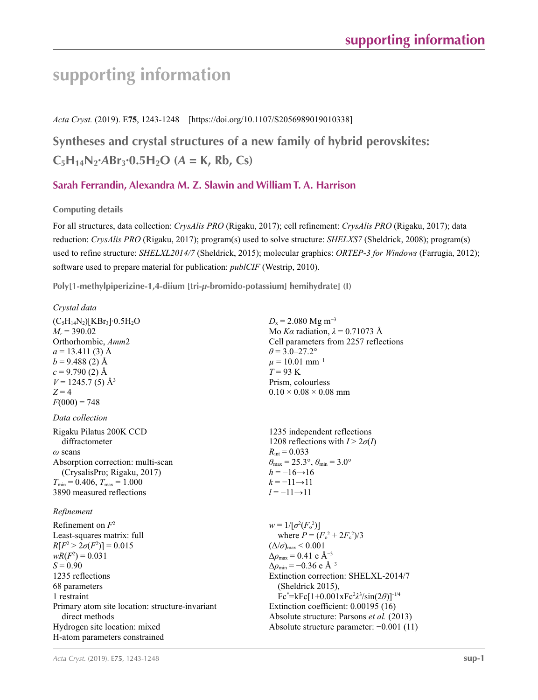*Acta Cryst.* (2019). E**75**, 1243-1248 [https://doi.org/10.1107/S2056989019010338]

**Syntheses and crystal structures of a new family of hybrid perovskites:**   $C_5H_{14}N_2$ **·***A***Br**<sub>3</sub>**·0.5H<sub>2</sub>O (***A* **= K, Rb, Cs)** 

## **Sarah Ferrandin, Alexandra M. Z. Slawin and William T. A. Harrison**

**Computing details** 

For all structures, data collection: *CrysAlis PRO* (Rigaku, 2017); cell refinement: *CrysAlis PRO* (Rigaku, 2017); data reduction: *CrysAlis PRO* (Rigaku, 2017); program(s) used to solve structure: *SHELXS7* (Sheldrick, 2008); program(s) used to refine structure: *SHELXL2014/7* (Sheldrick, 2015); molecular graphics: *ORTEP*-*3 for Windows* (Farrugia, 2012); software used to prepare material for publication: *publCIF* (Westrip, 2010).

**Poly[1-methylpiperizine-1,4-diium [tri-***µ***-bromido-potassium] hemihydrate] (I)** 

| Crystal data                                                                                                                                                                                                                                                                                                       |                                                                                                                                                                                                                                                                                                                                                                                                                                                                             |
|--------------------------------------------------------------------------------------------------------------------------------------------------------------------------------------------------------------------------------------------------------------------------------------------------------------------|-----------------------------------------------------------------------------------------------------------------------------------------------------------------------------------------------------------------------------------------------------------------------------------------------------------------------------------------------------------------------------------------------------------------------------------------------------------------------------|
| $(C_5H_{14}N_2)[KBr_3] \cdot 0.5H_2O$<br>$M_r = 390.02$<br>Orthorhombic, Amm2<br>$a = 13.411(3)$ Å<br>$b = 9.488(2)$ Å<br>$c = 9.790(2)$ Å<br>$V = 1245.7(5)$ Å <sup>3</sup><br>$Z = 4$<br>$F(000) = 748$                                                                                                          | $D_x = 2.080$ Mg m <sup>-3</sup><br>Mo Ka radiation, $\lambda = 0.71073$ Å<br>Cell parameters from 2257 reflections<br>$\theta$ = 3.0–27.2°<br>$\mu = 10.01$ mm <sup>-1</sup><br>$T = 93$ K<br>Prism, colourless<br>$0.10 \times 0.08 \times 0.08$ mm                                                                                                                                                                                                                       |
| Data collection                                                                                                                                                                                                                                                                                                    |                                                                                                                                                                                                                                                                                                                                                                                                                                                                             |
| Rigaku Pilatus 200K CCD<br>diffractometer<br>$\omega$ scans<br>Absorption correction: multi-scan<br>(CrysalisPro; Rigaku, 2017)<br>$T_{\min}$ = 0.406, $T_{\max}$ = 1.000<br>3890 measured reflections                                                                                                             | 1235 independent reflections<br>1208 reflections with $I > 2\sigma(I)$<br>$R_{\text{int}} = 0.033$<br>$\theta_{\text{max}} = 25.3^{\circ}, \theta_{\text{min}} = 3.0^{\circ}$<br>$h = -16 \rightarrow 16$<br>$k = -11 \rightarrow 11$<br>$l = -11 \rightarrow 11$                                                                                                                                                                                                           |
| Refinement                                                                                                                                                                                                                                                                                                         |                                                                                                                                                                                                                                                                                                                                                                                                                                                                             |
| Refinement on $F^2$<br>Least-squares matrix: full<br>$R[F^2 > 2\sigma(F^2)] = 0.015$<br>$wR(F^2) = 0.031$<br>$S = 0.90$<br>1235 reflections<br>68 parameters<br>1 restraint<br>Primary atom site location: structure-invariant<br>direct methods<br>Hydrogen site location: mixed<br>H-atom parameters constrained | $w = 1/[\sigma^2(F_o^2)]$<br>where $P = (F_o^2 + 2F_c^2)/3$<br>$(\Delta/\sigma)_{\text{max}}$ < 0.001<br>$\Delta\rho_{\text{max}} = 0.41$ e Å <sup>-3</sup><br>$\Delta\rho_{\rm min} = -0.36$ e Å <sup>-3</sup><br>Extinction correction: SHELXL-2014/7<br>(Sheldrick 2015),<br>$Fc^* = kFc[1+0.001xFc^2\lambda^3/sin(2\theta)]^{-1/4}$<br>Extinction coefficient: 0.00195 (16)<br>Absolute structure: Parsons et al. (2013)<br>Absolute structure parameter: $-0.001$ (11) |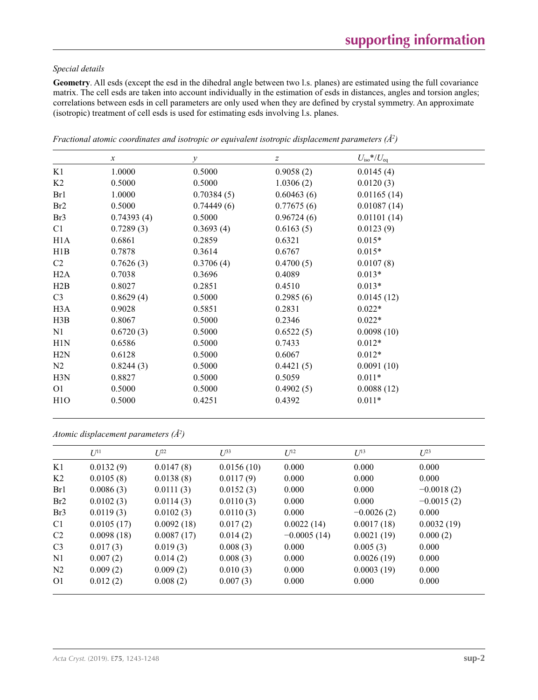## *Special details*

**Geometry**. All esds (except the esd in the dihedral angle between two l.s. planes) are estimated using the full covariance matrix. The cell esds are taken into account individually in the estimation of esds in distances, angles and torsion angles; correlations between esds in cell parameters are only used when they are defined by crystal symmetry. An approximate (isotropic) treatment of cell esds is used for estimating esds involving l.s. planes.

|                  | $\boldsymbol{\mathcal{X}}$ | $\mathcal{Y}$ | z          | $U_{\rm iso}*/U_{\rm eq}$ |
|------------------|----------------------------|---------------|------------|---------------------------|
| K1               | 1.0000                     | 0.5000        | 0.9058(2)  | 0.0145(4)                 |
| K2               | 0.5000                     | 0.5000        | 1.0306(2)  | 0.0120(3)                 |
| Br1              | 1.0000                     | 0.70384(5)    | 0.60463(6) | 0.01165(14)               |
| Br2              | 0.5000                     | 0.74449(6)    | 0.77675(6) | 0.01087(14)               |
| Br3              | 0.74393(4)                 | 0.5000        | 0.96724(6) | 0.01101(14)               |
| C1               | 0.7289(3)                  | 0.3693(4)     | 0.6163(5)  | 0.0123(9)                 |
| H1A              | 0.6861                     | 0.2859        | 0.6321     | $0.015*$                  |
| H1B              | 0.7878                     | 0.3614        | 0.6767     | $0.015*$                  |
| C2               | 0.7626(3)                  | 0.3706(4)     | 0.4700(5)  | 0.0107(8)                 |
| H2A              | 0.7038                     | 0.3696        | 0.4089     | $0.013*$                  |
| H2B              | 0.8027                     | 0.2851        | 0.4510     | $0.013*$                  |
| C <sub>3</sub>   | 0.8629(4)                  | 0.5000        | 0.2985(6)  | 0.0145(12)                |
| H <sub>3</sub> A | 0.9028                     | 0.5851        | 0.2831     | $0.022*$                  |
| H3B              | 0.8067                     | 0.5000        | 0.2346     | $0.022*$                  |
| N1               | 0.6720(3)                  | 0.5000        | 0.6522(5)  | 0.0098(10)                |
| H1N              | 0.6586                     | 0.5000        | 0.7433     | $0.012*$                  |
| H2N              | 0.6128                     | 0.5000        | 0.6067     | $0.012*$                  |
| N2               | 0.8244(3)                  | 0.5000        | 0.4421(5)  | 0.0091(10)                |
| H3N              | 0.8827                     | 0.5000        | 0.5059     | $0.011*$                  |
| O <sub>1</sub>   | 0.5000                     | 0.5000        | 0.4902(5)  | 0.0088(12)                |
| H <sub>1</sub> O | 0.5000                     | 0.4251        | 0.4392     | $0.011*$                  |

*Fractional atomic coordinates and isotropic or equivalent isotropic displacement parameters (Å<sup>2</sup>)* 

| Atomic displacement parameters $(\AA^2)$ |  |  |  |  |  |
|------------------------------------------|--|--|--|--|--|
|------------------------------------------|--|--|--|--|--|

|                 | $U^{11}$   | $L^{22}$   | $U^{33}$   | $U^{12}$      | $U^{13}$     | $U^{23}$     |
|-----------------|------------|------------|------------|---------------|--------------|--------------|
| K1              | 0.0132(9)  | 0.0147(8)  | 0.0156(10) | 0.000         | 0.000        | 0.000        |
| K <sub>2</sub>  | 0.0105(8)  | 0.0138(8)  | 0.0117(9)  | 0.000         | 0.000        | 0.000        |
| Br1             | 0.0086(3)  | 0.0111(3)  | 0.0152(3)  | 0.000         | 0.000        | $-0.0018(2)$ |
| Br2             | 0.0102(3)  | 0.0114(3)  | 0.0110(3)  | 0.000         | 0.000        | $-0.0015(2)$ |
| Br <sub>3</sub> | 0.0119(3)  | 0.0102(3)  | 0.0110(3)  | 0.000         | $-0.0026(2)$ | 0.000        |
| C <sub>1</sub>  | 0.0105(17) | 0.0092(18) | 0.017(2)   | 0.0022(14)    | 0.0017(18)   | 0.0032(19)   |
| C <sub>2</sub>  | 0.0098(18) | 0.0087(17) | 0.014(2)   | $-0.0005(14)$ | 0.0021(19)   | 0.000(2)     |
| C <sub>3</sub>  | 0.017(3)   | 0.019(3)   | 0.008(3)   | 0.000         | 0.005(3)     | 0.000        |
| N <sub>1</sub>  | 0.007(2)   | 0.014(2)   | 0.008(3)   | 0.000         | 0.0026(19)   | 0.000        |
| N <sub>2</sub>  | 0.009(2)   | 0.009(2)   | 0.010(3)   | 0.000         | 0.0003(19)   | 0.000        |
| O <sub>1</sub>  | 0.012(2)   | 0.008(2)   | 0.007(3)   | 0.000         | 0.000        | 0.000        |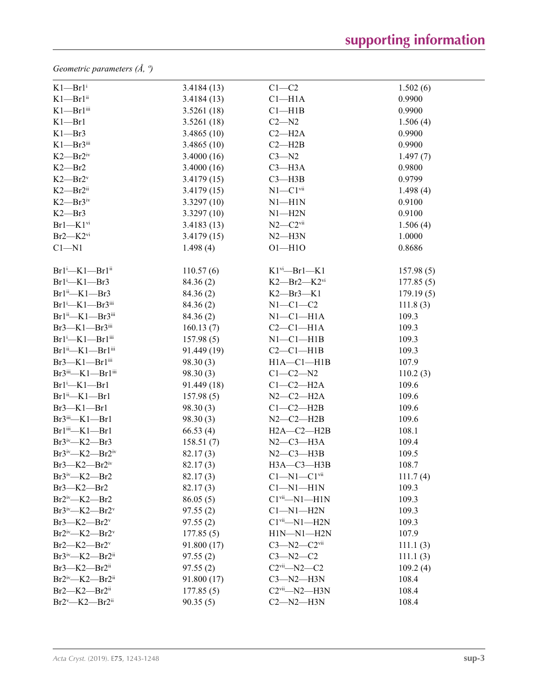*Geometric parameters (Å, º)*

| $K1$ —Br $1i$                            | 3.4184(13)  | $C1-C2$                       | 1.502(6)  |  |
|------------------------------------------|-------------|-------------------------------|-----------|--|
| $K1$ — $Br1$ <sup>ii</sup>               | 3.4184(13)  | Cl <sub>–H1A</sub>            | 0.9900    |  |
| $K1$ — $Br1$ <sup>iii</sup>              | 3.5261(18)  | $Cl-H1B$                      | 0.9900    |  |
| $K1 - Br1$                               | 3.5261(18)  | $C2 - N2$                     | 1.506(4)  |  |
| $K1 - Br3$                               | 3.4865(10)  | $C2 - H2A$                    | 0.9900    |  |
| $K1$ — $Br3$ <sup>iii</sup>              | 3.4865(10)  | $C2 - H2B$                    | 0.9900    |  |
| $K2$ —Br $2^{iv}$                        | 3.4000(16)  | $C3 - N2$                     | 1.497(7)  |  |
| $K2$ —Br2                                | 3.4000(16)  | $C3 - H3A$                    | 0.9800    |  |
| $K2$ — $Br2v$                            | 3.4179(15)  | $C3 - H3B$                    | 0.9799    |  |
| $K2$ — $Br2$ <sup>ii</sup>               | 3.4179(15)  | $N1-C1$ <sup>vii</sup>        | 1.498(4)  |  |
| $K2$ —Br $3^{iv}$                        | 3.3297(10)  | $N1 - H1N$                    | 0.9100    |  |
| $K2$ —Br3                                | 3.3297(10)  | $N1 - H2N$                    | 0.9100    |  |
| $Br1-K1$ <sup>vi</sup>                   | 3.4183(13)  | $N2-C2$ <sup>vii</sup>        | 1.506(4)  |  |
| $Br2-K2$ <sup>vi</sup>                   | 3.4179(15)  | $N2$ —H3 $N$                  | 1.0000    |  |
| $C1 - N1$                                | 1.498(4)    | $O1 - H1O$                    | 0.8686    |  |
|                                          |             |                               |           |  |
| $Br1^i$ —K $1$ —Br $1^{ii}$              | 110.57(6)   | $K1$ <sup>vi</sup> —Br1—K1    | 157.98(5) |  |
| $Br1^i$ —K1—Br3                          | 84.36 (2)   | $K2$ —Br2—K2vi                | 177.85(5) |  |
| Br1"-K1-Br3                              | 84.36(2)    | $K2$ —Br $3$ —K1              | 179.19(5) |  |
| $Br1^i$ —K $1$ —Br $3^{iii}$             | 84.36(2)    | $N1-C1-C2$                    | 111.8(3)  |  |
| $Br1ii$ – K1 – $Br3iii$                  | 84.36(2)    | $N1-C1-H1A$                   | 109.3     |  |
| $Br3-K1$ — $Br3$ <sup>iii</sup>          | 160.13(7)   | $C2-C1-H1A$                   | 109.3     |  |
| Br1 <sup>i</sup> -K1-Br1 <sup>iii</sup>  | 157.98(5)   | $N1-C1-H1B$                   | 109.3     |  |
| Br1 <sup>ii</sup> -K1-Br1 <sup>iii</sup> | 91.449(19)  | $C2-C1-H1B$                   | 109.3     |  |
| $Br3-K1-Pr1$ <sup>iii</sup>              | 98.30(3)    | $H1A - C1 - H1B$              | 107.9     |  |
| Br3iii—K1—Br1iii                         | 98.30(3)    | $C1-C2-N2$                    | 110.2(3)  |  |
| $Br1^i$ —K $1$ —Br $1$                   | 91.449(18)  | $C1-C2-H2A$                   | 109.6     |  |
| $Br1ii$ -K1-Br1                          | 157.98(5)   | $N2-C2-H2A$                   | 109.6     |  |
| $Br3-K1-Br1$                             | 98.30(3)    | $C1-C2-H2B$                   | 109.6     |  |
| $Br3$ <sup>iii</sup> —K1—Br1             | 98.30(3)    | $N2-C2-H2B$                   | 109.6     |  |
| $Br1iii$ – K1 – Br1                      | 66.53(4)    | $H2A-C2-H2B$                  | 108.1     |  |
| $Br3iv$ -K2-Br3                          | 158.51(7)   | $N2-C3-H3A$                   | 109.4     |  |
| $Br3^{\text{iv}}$ —K2—Br2 <sup>iv</sup>  | 82.17(3)    | $N2-C3-H3B$                   | 109.5     |  |
| $Br3-K2-Br2$ <sup>iv</sup>               | 82.17(3)    | НЗА-СЗ-НЗВ                    | 108.7     |  |
| $Br3iv$ -K2-Br2                          | 82.17(3)    | $C1 - N1 - C1$ <sup>vii</sup> | 111.7(4)  |  |
| $Br3-K2-Br2$                             | 82.17(3)    | $Cl-M1-H1N$                   | 109.3     |  |
| $Br2iv$ -K2-Br2                          | 86.05(5)    | $Clvii$ -N1-H1N               | 109.3     |  |
| $Br3^iv$ —K2—Br2 <sup>v</sup>            | 97.55(2)    | $Cl-M1-H2N$                   | 109.3     |  |
| $Br3-K2-Br2v$                            | 97.55(2)    | $Clvii$ -N1-H2N               | 109.3     |  |
| $Br2^{\rm iv}$ —K2—Br2 <sup>v</sup>      | 177.85(5)   | $H1N-M1-H2N$                  | 107.9     |  |
| $Br2$ —K2—Br2 <sup>v</sup>               | 91.800(17)  | $C3 - N2 - C2$ <sup>vii</sup> | 111.1(3)  |  |
| $Br3iv$ -K2-Br2 <sup>ii</sup>            | 97.55(2)    | $C3 - N2 - C2$                | 111.1(3)  |  |
| $Br3-K2-Br2$ <sup>ii</sup>               | 97.55(2)    | $C2$ <sup>vii</sup> -N2- $C2$ | 109.2(4)  |  |
| $Br2iv$ -K2-Br2 <sup>ii</sup>            | 91.800 (17) | $C3 - N2 - H3N$               | 108.4     |  |
| $Br2$ —K2—Br2 <sup>ii</sup>              | 177.85(5)   | $C2$ <sup>vii</sup> —N2—H3N   | 108.4     |  |
| $Br2^v$ —K2—Br2ii                        | 90.35(5)    | $C2-M2-H3N$                   | 108.4     |  |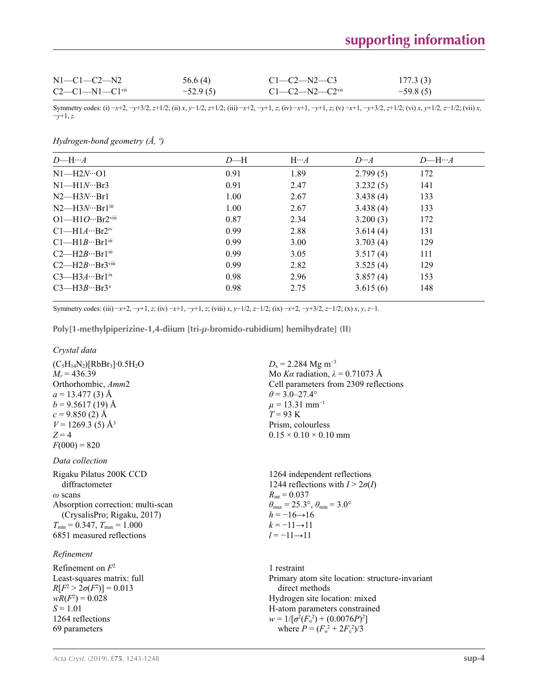| $N1 - C1 - C2 - N2$          | 56.6(4)    | $C1 - C2 - N2 - C3$          | 177.3(3)   |
|------------------------------|------------|------------------------------|------------|
| $C2-C1-M1-C1$ <sup>vii</sup> | $-52.9(5)$ | $C1-C2-M2-C2$ <sup>vii</sup> | $-59.8(5)$ |

Symmetry codes: (i)  $-x+2$ ,  $-y+3/2$ ,  $z+1/2$ ; (ii)  $x$ ,  $y-1/2$ ,  $z+1/2$ ; (iii)  $-x+2$ ,  $-y+1$ ,  $z$ ; (iv)  $-x+1$ ,  $-y+1$ ,  $z$ ; (v)  $-x+1$ ,  $-y+3/2$ ,  $z+1/2$ ; (vi)  $x$ ,  $y+1/2$ ,  $z-1/2$ ; (vii)  $x$ , −*y*+1, *z*.

## *Hydrogen-bond geometry (Å, º)*

| $D$ —H… $A$                            | $D$ —H | $H \cdots A$ | $D^{}A$  | $D$ —H… $A$ |
|----------------------------------------|--------|--------------|----------|-------------|
| $N1 - H2N \cdot 01$                    | 0.91   | 1.89         | 2.799(5) | 172         |
| $N1-H1N\cdots Br3$                     | 0.91   | 2.47         | 3.232(5) | 141         |
| $N2$ —H $3N$ …Br1                      | 1.00   | 2.67         | 3.438(4) | 133         |
| $N2$ —H3 $N \cdots Br1$ <sup>iii</sup> | 1.00   | 2.67         | 3.438(4) | 133         |
| $O1-H1O \cdots Br2$ <sup>viii</sup>    | 0.87   | 2.34         | 3.200(3) | 172         |
| $Cl$ —H1 $A \cdots Br2$ <sup>iv</sup>  | 0.99   | 2.88         | 3.614(4) | 131         |
| $C1$ —H1 $B$ …Br1 $\text{iii}$         | 0.99   | 3.00         | 3.703(4) | 129         |
| $C2$ —H2B…Br1ii                        | 0.99   | 3.05         | 3.517(4) | 111         |
| $C2$ —H2B…Br3 <sup>viii</sup>          | 0.99   | 2.82         | 3.525(4) | 129         |
| $C3$ —H3A…Br1 <sup>ix</sup>            | 0.98   | 2.96         | 3.857(4) | 153         |
| $C3$ —H $3B$ …Br $3x$                  | 0.98   | 2.75         | 3.615(6) | 148         |
|                                        |        |              |          |             |

Symmetry codes: (iii)  $-x+2$ ,  $-y+1$ , z; (iv)  $-x+1$ ,  $-y+1$ , z; (viii) x,  $y-1/2$ ,  $z-1/2$ ; (ix)  $-x+2$ ,  $-y+3/2$ ,  $z-1/2$ ; (x) x, y, z-1.

**Poly[1-methylpiperizine-1,4-diium [tri-***µ***-bromido-rubidium] hemihydrate] (II)** 

#### *Crystal data*

 $(C_5H_{14}N_2)[RbBr_3]\cdot 0.5H_2O$  $M_r = 436.39$ Orthorhombic, *Amm*2  $a = 13.477(3)$  Å  $b = 9.5617(19)$  Å  $c = 9.850(2)$  Å  $V = 1269.3$  (5) Å<sup>3</sup>  $Z = 4$  $F(000) = 820$ 

## *Data collection*

Rigaku Pilatus 200K CCD diffractometer *ω* scans Absorption correction: multi-scan (CrysalisPro; Rigaku, 2017)  $T_{\text{min}} = 0.347, T_{\text{max}} = 1.000$ 6851 measured reflections

## *Refinement*

Refinement on *F*<sup>2</sup> Least-squares matrix: full  $R[F^2 > 2\sigma(F^2)] = 0.013$  $wR(F^2) = 0.028$  $S = 1.01$ 1264 reflections 69 parameters

 $D_x = 2.284$  Mg m<sup>-3</sup> Mo *Kα* radiation,  $\lambda = 0.71073$  Å Cell parameters from 2309 reflections  $\theta$  = 3.0–27.4°  $\mu$  = 13.31 mm<sup>-1</sup>  $T = 93$  K Prism, colourless  $0.15 \times 0.10 \times 0.10$  mm

1264 independent reflections 1244 reflections with  $I > 2\sigma(I)$  $R_{\text{int}} = 0.037$  $\theta_{\text{max}} = 25.3^{\circ}, \theta_{\text{min}} = 3.0^{\circ}$  $h = -16 \rightarrow 16$  $k = -11 \rightarrow 11$ *l* = −11→11

1 restraint Primary atom site location: structure-invariant direct methods Hydrogen site location: mixed H-atom parameters constrained  $w = 1/[\sigma^2 (F_o^2) + (0.0076P)^2]$ where  $P = (F_o^2 + 2F_c^2)/3$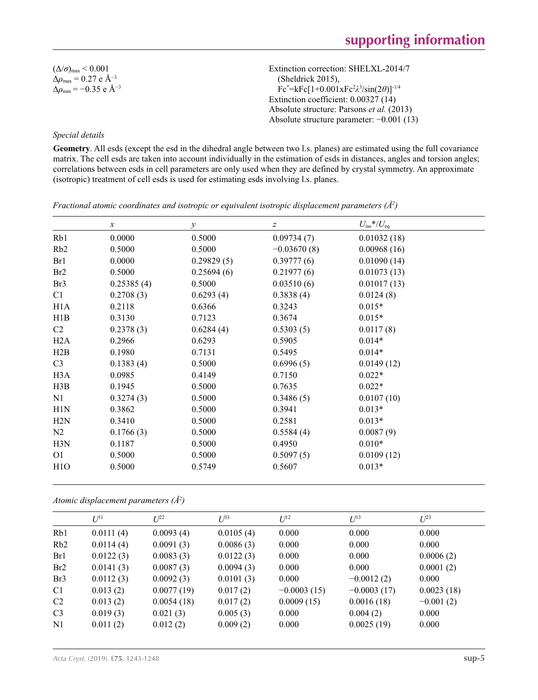$(\Delta/\sigma)_{\text{max}}$  < 0.001 Δ*ρ*max = 0.27 e Å−3 Δ*ρ*min = −0.35 e Å−3 Extinction correction: SHELXL-2014/7 (Sheldrick 2015), Fc\* =kFc[1+0.001xFc2 *λ*3 /sin(2*θ*)]-1/4 Extinction coefficient: 0.00327 (14) Absolute structure: Parsons *et al.* (2013) Absolute structure parameter: −0.001 (13)

## *Special details*

**Geometry**. All esds (except the esd in the dihedral angle between two l.s. planes) are estimated using the full covariance matrix. The cell esds are taken into account individually in the estimation of esds in distances, angles and torsion angles; correlations between esds in cell parameters are only used when they are defined by crystal symmetry. An approximate (isotropic) treatment of cell esds is used for estimating esds involving l.s. planes.

|                  | $\boldsymbol{\chi}$ | $\mathcal{Y}$ | Z             | $U_{\rm iso}*/U_{\rm eq}$ |  |
|------------------|---------------------|---------------|---------------|---------------------------|--|
| Rb1              | 0.0000              | 0.5000        | 0.09734(7)    | 0.01032(18)               |  |
| R <sub>b</sub> 2 | 0.5000              | 0.5000        | $-0.03670(8)$ | 0.00968(16)               |  |
| Br1              | 0.0000              | 0.29829(5)    | 0.39777(6)    | 0.01090(14)               |  |
| Br2              | 0.5000              | 0.25694(6)    | 0.21977(6)    | 0.01073(13)               |  |
| Br3              | 0.25385(4)          | 0.5000        | 0.03510(6)    | 0.01017(13)               |  |
| C1               | 0.2708(3)           | 0.6293(4)     | 0.3838(4)     | 0.0124(8)                 |  |
| H1A              | 0.2118              | 0.6366        | 0.3243        | $0.015*$                  |  |
| H1B              | 0.3130              | 0.7123        | 0.3674        | $0.015*$                  |  |
| C2               | 0.2378(3)           | 0.6284(4)     | 0.5303(5)     | 0.0117(8)                 |  |
| H2A              | 0.2966              | 0.6293        | 0.5905        | $0.014*$                  |  |
| H2B              | 0.1980              | 0.7131        | 0.5495        | $0.014*$                  |  |
| C <sub>3</sub>   | 0.1383(4)           | 0.5000        | 0.6996(5)     | 0.0149(12)                |  |
| H <sub>3</sub> A | 0.0985              | 0.4149        | 0.7150        | $0.022*$                  |  |
| H3B              | 0.1945              | 0.5000        | 0.7635        | $0.022*$                  |  |
| N1               | 0.3274(3)           | 0.5000        | 0.3486(5)     | 0.0107(10)                |  |
| H1N              | 0.3862              | 0.5000        | 0.3941        | $0.013*$                  |  |
| H2N              | 0.3410              | 0.5000        | 0.2581        | $0.013*$                  |  |
| N2               | 0.1766(3)           | 0.5000        | 0.5584(4)     | 0.0087(9)                 |  |
| H3N              | 0.1187              | 0.5000        | 0.4950        | $0.010*$                  |  |
| O <sub>1</sub>   | 0.5000              | 0.5000        | 0.5097(5)     | 0.0109(12)                |  |
| H <sub>1</sub> O | 0.5000              | 0.5749        | 0.5607        | $0.013*$                  |  |

*Fractional atomic coordinates and isotropic or equivalent isotropic displacement parameters (Å<sup>2</sup>)* 

*Atomic displacement parameters (Å2 )*

|                | $U^{11}$  | $L^{22}$   | $U^{\beta 3}$ | $U^{12}$      | $U^{13}$      | $U^{23}$    |
|----------------|-----------|------------|---------------|---------------|---------------|-------------|
| Rb1            | 0.0111(4) | 0.0093(4)  | 0.0105(4)     | 0.000         | 0.000         | 0.000       |
| Rb2            | 0.0114(4) | 0.0091(3)  | 0.0086(3)     | 0.000         | 0.000         | 0.000       |
| Br1            | 0.0122(3) | 0.0083(3)  | 0.0122(3)     | 0.000         | 0.000         | 0.0006(2)   |
| Br2            | 0.0141(3) | 0.0087(3)  | 0.0094(3)     | 0.000         | 0.000         | 0.0001(2)   |
| Br3            | 0.0112(3) | 0.0092(3)  | 0.0101(3)     | 0.000         | $-0.0012(2)$  | 0.000       |
| C <sub>1</sub> | 0.013(2)  | 0.0077(19) | 0.017(2)      | $-0.0003(15)$ | $-0.0003(17)$ | 0.0023(18)  |
| C <sub>2</sub> | 0.013(2)  | 0.0054(18) | 0.017(2)      | 0.0009(15)    | 0.0016(18)    | $-0.001(2)$ |
| C <sub>3</sub> | 0.019(3)  | 0.021(3)   | 0.005(3)      | 0.000         | 0.004(2)      | 0.000       |
| N1             | 0.011(2)  | 0.012(2)   | 0.009(2)      | 0.000         | 0.0025(19)    | 0.000       |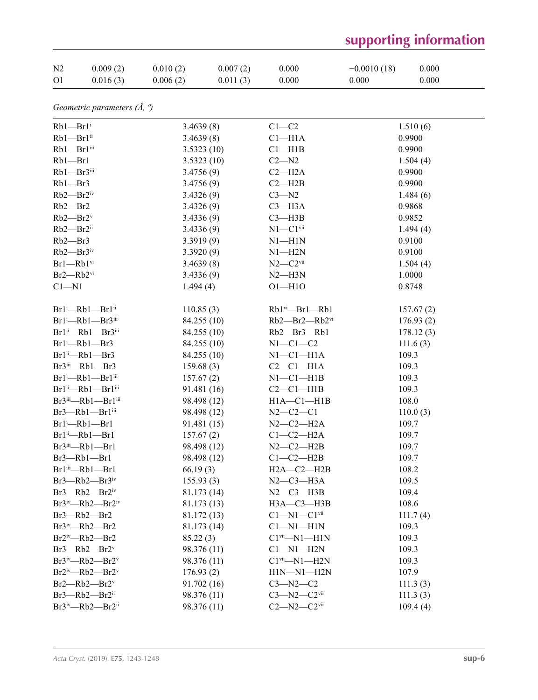| N <sub>2</sub> | 0.009(2) | 0.010(2) | 0.007(2) | 0.000 | $-0.0010(18)$ | 0.000 |
|----------------|----------|----------|----------|-------|---------------|-------|
| <sup>O1</sup>  | 0.016(3) | 0.006(2) | 0.011(3) | 0.000 | 0.000         | 0.000 |

*Geometric parameters (Å, º)*

| $\alpha$ , $\alpha$ purumeters $\alpha$ , $\beta$  |             |                               |           |
|----------------------------------------------------|-------------|-------------------------------|-----------|
| $Rb1 - Br1$ <sup>i</sup>                           | 3.4639(8)   | $C1-C2$                       | 1.510(6)  |
| $Rb1 - Br1$ <sup>ii</sup>                          | 3.4639(8)   | Cl <sub>–H1A</sub>            | 0.9900    |
| Rb1-Br1iii                                         | 3.5323(10)  | Cl—H1B                        | 0.9900    |
| $Rb1 - Br1$                                        | 3.5323(10)  | $C2 - N2$                     | 1.504(4)  |
| Rb1-Br3iii                                         | 3.4756(9)   | $C2 - H2A$                    | 0.9900    |
| $Rb1 - Br3$                                        | 3.4756(9)   | $C2 - H2B$                    | 0.9900    |
| $Rb2 - Br2$ <sup>iv</sup>                          | 3.4326(9)   | $C3 - N2$                     | 1.484(6)  |
| $Rb2 - Br2$                                        | 3.4326(9)   | $C3 - H3A$                    | 0.9868    |
| $Rb2 - Br2v$                                       | 3.4336(9)   | $C3 - H3B$                    | 0.9852    |
| $Rb2 - Br2ii$                                      | 3.4336(9)   | $N1-C1$ <sup>vii</sup>        | 1.494(4)  |
| Rb2-Br3                                            | 3.3919(9)   | $N1 - H1N$                    | 0.9100    |
| $Rb2 - Br3$ iv                                     | 3.3920(9)   | $N1 - H2N$                    | 0.9100    |
| $Br1$ -Rb $1$ <sup>vi</sup>                        | 3.4639(8)   | $N2-C2$ <sup>vii</sup>        | 1.504(4)  |
| $Br2$ — $Rb2$ <sup>vi</sup>                        | 3.4336(9)   | $N2$ —H3N                     | 1.0000    |
| $C1 - N1$                                          | 1.494(4)    | $O1 - H1O$                    | 0.8748    |
|                                                    |             |                               |           |
| Br1 <sup>i</sup> -Rb1-Br1 <sup>ii</sup>            | 110.85(3)   | $Rb1$ <sup>vi</sup> —Br1—Rb1  | 157.67(2) |
| Br1 <sup>i</sup> -Rb1-Br3 <sup>iii</sup>           | 84.255 (10) | Rb2-Br2-Rb2vi                 | 176.93(2) |
| Br1ii-Rb1-Br3iii                                   | 84.255 (10) | Rb2-Br3-Rb1                   | 178.12(3) |
| Br <sub>1</sub> i <sub>-Rb1</sub> -Br <sub>3</sub> | 84.255 (10) | $N1-C1-C2$                    | 111.6(3)  |
| Br1 <sup>ii</sup> -Rb1-Br3                         | 84.255 (10) | $N1-C1-H1A$                   | 109.3     |
| Br3iii-Rb1-Br3                                     | 159.68(3)   | $C2-C1-H1A$                   | 109.3     |
| Br1 <sup>i</sup> -Rb1-Br1iii                       | 157.67(2)   | $N1-C1-H1B$                   | 109.3     |
| Br1 <sup>ii</sup> -Rb1-Br1 <sup>iii</sup>          | 91.481 (16) | $C2-C1-H1B$                   | 109.3     |
| Br3iii—Rb1—Br1iii                                  | 98.498 (12) | $H1A - C1 - H1B$              | 108.0     |
| Br3-Rb1-Br1iii                                     | 98.498 (12) | $N2 - C2 - C1$                | 110.0(3)  |
| Br <sub>1</sub> i <sub>-Rb1</sub> -Br <sub>1</sub> | 91.481(15)  | $N2-C2-H2A$                   | 109.7     |
| Br1 <sup>ii</sup> -Rb1-Br1                         | 157.67(2)   | $C1-C2-H2A$                   | 109.7     |
| Br3iii-Rb1-Br1                                     | 98.498 (12) | $N2-C2-H2B$                   | 109.7     |
| $Br3$ -Rb1-Br1                                     | 98.498 (12) | $Cl$ -C2-H2B                  | 109.7     |
| Br1iii-Rb1-Br1                                     | 66.19(3)    | $H2A - C2 - H2B$              | 108.2     |
| $Br3$ —Rb2—Br3 <sup>iv</sup>                       | 155.93(3)   | $N2-C3-H3A$                   | 109.5     |
| $Br3$ -Rb2-Br2 <sup>iv</sup>                       | 81.173 (14) | $N2-C3-H3B$                   | 109.4     |
| Br3iv-Rb2-Br2iv                                    | 81.173 (13) | $H3A - C3 - H3B$              | 108.6     |
| $Br3$ — $Rb2$ — $Br2$                              | 81.172 (13) | $Cl-M1-C1$ <sup>vii</sup>     | 111.7(4)  |
| $Br3iv$ -Rb2--Br2                                  | 81.173 (14) | $Cl-M1-H1N$                   | 109.3     |
| $Br2iv$ -Rb2--Br2                                  | 85.22(3)    | $Clvi$ -N1-H1N                | 109.3     |
| $Br3$ —Rb2—Br2 <sup>v</sup>                        | 98.376 (11) | $Cl-M1-H2N$                   | 109.3     |
| Br3 <sup>iv</sup> -Rb2-Br2 <sup>v</sup>            | 98.376 (11) | $Clvii$ -N1-H2N               | 109.3     |
| $Br2^iv$ -Rb2-Br2 $v$                              | 176.93(2)   | $H1N-M1-H2N$                  | 107.9     |
| $Br2$ —Rb2—Br2 <sup>v</sup>                        | 91.702 (16) | $C3 - N2 - C2$                | 111.3(3)  |
| Br3-Rb2-Br2ii                                      | 98.376 (11) | $C3 - N2 - C2$ <sup>vii</sup> | 111.3(3)  |
| Br3iv-Rb2-Br2ii                                    | 98.376 (11) | $C2 - N2 - C2$ <sup>vii</sup> | 109.4(4)  |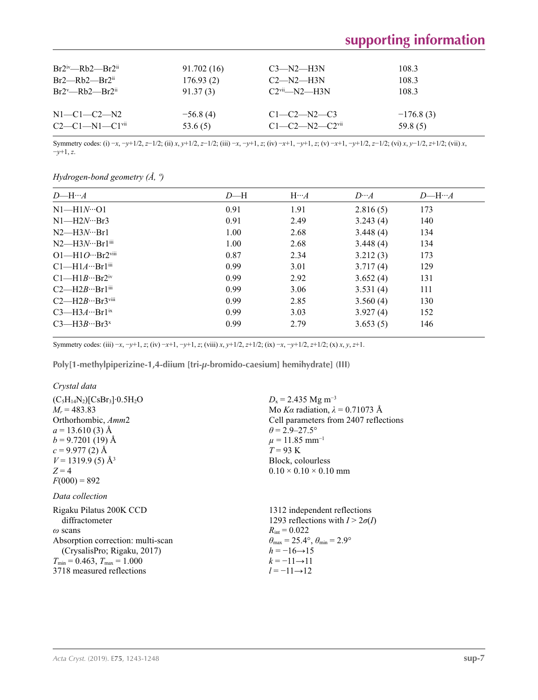| $Br2iv$ -Rb2--Br2 <sup>ii</sup> | 91.702(16) | $C3-M2-H3N$                        | 108.3       |
|---------------------------------|------------|------------------------------------|-------------|
| $Br2$ —Rb2—Br2 <sup>ii</sup>    | 176.93(2)  | $C2-M2-H3N$                        | 108.3       |
| $Br2^v$ —Rb2—Br2 <sup>ii</sup>  | 91.37(3)   | $C2vi$ $-N2$ $-H3N$                | 108.3       |
| $N1-C1-C2-N2$                   | $-56.8(4)$ | $C1 - C2 - N2 - C3$                | $-176.8(3)$ |
| $C2-C1-M1-C1$ <sup>vii</sup>    | 53.6(5)    | $C1 - C2 - N2 - C2$ <sup>vii</sup> | 59.8(5)     |

Symmetry codes: (i)  $-x$ ,  $-y+1/2$ ,  $z-1/2$ ; (ii) x,  $y+1/2$ ,  $z-1/2$ ; (iii)  $-x$ ,  $-y+1$ ,  $z$ ; (iv)  $-x+1$ ,  $-y+1$ ,  $z$ ; (v)  $-x+1$ ,  $-y+1/2$ ,  $z-1/2$ ; (vi) x,  $y-1/2$ ,  $z+1/2$ ; (vii) x, −*y*+1, *z*.

| Hydrogen-bond geometry $(A, \theta)$ |
|--------------------------------------|
|--------------------------------------|

| $D$ —H… $A$                               | $D$ —H | $H \cdots A$ | $D^{}A$  | $D$ —H… $A$ |
|-------------------------------------------|--------|--------------|----------|-------------|
| $N1 - H1N \cdot 01$                       | 0.91   | 1.91         | 2.816(5) | 173         |
| $N1$ —H2 $N \cdot$ ··Br3                  | 0.91   | 2.49         | 3.243(4) | 140         |
| $N2$ —H $3N$ …Br1                         | 1.00   | 2.68         | 3.448(4) | 134         |
| $N2$ —H3 $N \cdot \cdot$ Br1 $\text{iii}$ | 1.00   | 2.68         | 3.448(4) | 134         |
| $O1-H1O \cdots Br2$ <sup>viii</sup>       | 0.87   | 2.34         | 3.212(3) | 173         |
| $Cl$ —H $1A$ …Br $1$ <sup>iii</sup>       | 0.99   | 3.01         | 3.717(4) | 129         |
| $C1$ —H1 $B$ …Br2 <sup>iv</sup>           | 0.99   | 2.92         | 3.652(4) | 131         |
| $C2$ —H2B…Br1iii                          | 0.99   | 3.06         | 3.531(4) | 111         |
| $C2$ —H2B…Br3 <sup>viii</sup>             | 0.99   | 2.85         | 3.560(4) | 130         |
| $C3$ —H $3A$ …Br $1^{ix}$                 | 0.99   | 3.03         | 3.927(4) | 152         |
| $C3$ —H $3B$ …Br $3x$                     | 0.99   | 2.79         | 3.653(5) | 146         |
|                                           |        |              |          |             |

Symmetry codes: (iii) −*x*, −*y*+1, *z*; (iv) −*x*+1, −*y*+1, *z*; (viii) *x*, *y*+1/2, *z*+1/2; (ix) −*x*, −*y*+1/2, *z*+1/2; (x) *x*, *y*, *z*+1.

**Poly[1-methylpiperizine-1,4-diium [tri-***µ***-bromido-caesium] hemihydrate] (III)** 

*Crystal data*

| $(C_5H_{14}N_2)[C_5Br_3] \cdot 0.5H_2O$<br>$M_r = 483.83$<br>Orthorhombic, Amm2<br>$a = 13.610(3)$ Å<br>$b = 9.7201(19)$ Å<br>$c = 9.977(2)$ Å<br>$V = 1319.9$ (5) Å <sup>3</sup><br>$Z=4$<br>$F(000) = 892$               | $D_x = 2.435$ Mg m <sup>-3</sup><br>Mo Ka radiation, $\lambda = 0.71073$ Å<br>Cell parameters from 2407 reflections<br>$\theta$ = 2.9–27.5°<br>$\mu = 11.85$ mm <sup>-1</sup><br>$T = 93$ K<br>Block, colourless<br>$0.10 \times 0.10 \times 0.10$ mm             |
|----------------------------------------------------------------------------------------------------------------------------------------------------------------------------------------------------------------------------|-------------------------------------------------------------------------------------------------------------------------------------------------------------------------------------------------------------------------------------------------------------------|
| Data collection<br>Rigaku Pilatus 200K CCD<br>diffractometer<br>$\omega$ scans<br>Absorption correction: multi-scan<br>(CrysalisPro; Rigaku, 2017)<br>$T_{\min} = 0.463$ , $T_{\max} = 1.000$<br>3718 measured reflections | 1312 independent reflections<br>1293 reflections with $I > 2\sigma(I)$<br>$R_{\rm int} = 0.022$<br>$\theta_{\text{max}} = 25.4^{\circ}$ , $\theta_{\text{min}} = 2.9^{\circ}$<br>$h = -16 \rightarrow 15$<br>$k = -11 \rightarrow 11$<br>$l = -11 \rightarrow 12$ |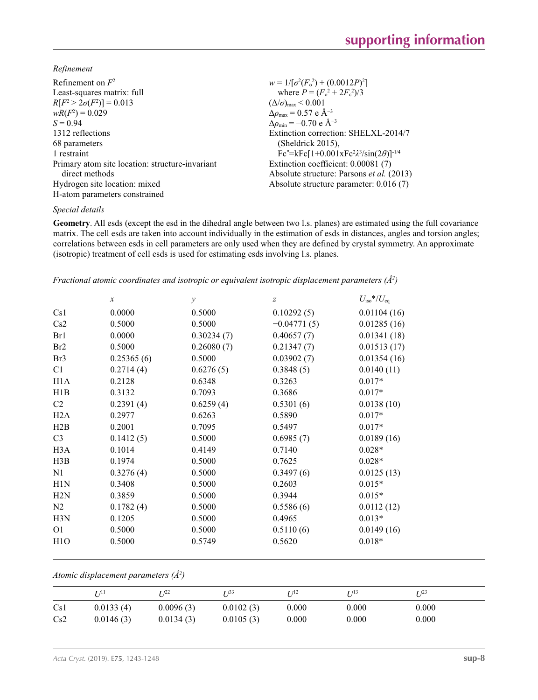*Refinement*

| Refinement on $F^2$                             | $w = 1/[\sigma^2(F_0^2) + (0.0012P)^2]$                   |
|-------------------------------------------------|-----------------------------------------------------------|
| Least-squares matrix: full                      | where $P = (F_o^2 + 2F_c^2)/3$                            |
| $R[F^2 > 2\sigma(F^2)] = 0.013$                 | $(\Delta/\sigma)_{\text{max}}$ < 0.001                    |
| $wR(F^2) = 0.029$                               | $\Delta\rho_{\rm max} = 0.57$ e Å <sup>-3</sup>           |
| $S = 0.94$                                      | $\Delta\rho_{\rm min} = -0.70 \text{ e } \text{\AA}^{-3}$ |
| 1312 reflections                                | Extinction correction: SHELXL-2014/7                      |
| 68 parameters                                   | (Sheldrick 2015),                                         |
| 1 restraint                                     | $Fc^* = kFc[1+0.001xFc^2\lambda^3/sin(2\theta)]^{-1/4}$   |
| Primary atom site location: structure-invariant | Extinction coefficient: 0.00081 (7)                       |
| direct methods                                  | Absolute structure: Parsons et al. (2013)                 |
| Hydrogen site location: mixed                   | Absolute structure parameter: 0.016 (7)                   |
| H-atom parameters constrained                   |                                                           |

## *Special details*

**Geometry**. All esds (except the esd in the dihedral angle between two l.s. planes) are estimated using the full covariance matrix. The cell esds are taken into account individually in the estimation of esds in distances, angles and torsion angles; correlations between esds in cell parameters are only used when they are defined by crystal symmetry. An approximate (isotropic) treatment of cell esds is used for estimating esds involving l.s. planes.

*Fractional atomic coordinates and isotropic or equivalent isotropic displacement parameters (Å<sup>2</sup>)* 

|                  | $\boldsymbol{\chi}$ | $\mathcal{Y}$ | $\boldsymbol{Z}$ | $U_{\rm iso}*/U_{\rm eq}$ |  |
|------------------|---------------------|---------------|------------------|---------------------------|--|
| Cs1              | 0.0000              | 0.5000        | 0.10292(5)       | 0.01104(16)               |  |
| Cs2              | 0.5000              | 0.5000        | $-0.04771(5)$    | 0.01285(16)               |  |
| Br1              | 0.0000              | 0.30234(7)    | 0.40657(7)       | 0.01341(18)               |  |
| Br <sub>2</sub>  | 0.5000              | 0.26080(7)    | 0.21347(7)       | 0.01513(17)               |  |
| Br3              | 0.25365(6)          | 0.5000        | 0.03902(7)       | 0.01354(16)               |  |
| C1               | 0.2714(4)           | 0.6276(5)     | 0.3848(5)        | 0.0140(11)                |  |
| H <sub>1</sub> A | 0.2128              | 0.6348        | 0.3263           | $0.017*$                  |  |
| H1B              | 0.3132              | 0.7093        | 0.3686           | $0.017*$                  |  |
| C2               | 0.2391(4)           | 0.6259(4)     | 0.5301(6)        | 0.0138(10)                |  |
| H2A              | 0.2977              | 0.6263        | 0.5890           | $0.017*$                  |  |
| H2B              | 0.2001              | 0.7095        | 0.5497           | $0.017*$                  |  |
| C <sub>3</sub>   | 0.1412(5)           | 0.5000        | 0.6985(7)        | 0.0189(16)                |  |
| H <sub>3</sub> A | 0.1014              | 0.4149        | 0.7140           | $0.028*$                  |  |
| H3B              | 0.1974              | 0.5000        | 0.7625           | $0.028*$                  |  |
| N1               | 0.3276(4)           | 0.5000        | 0.3497(6)        | 0.0125(13)                |  |
| H1N              | 0.3408              | 0.5000        | 0.2603           | $0.015*$                  |  |
| H2N              | 0.3859              | 0.5000        | 0.3944           | $0.015*$                  |  |
| N2               | 0.1782(4)           | 0.5000        | 0.5586(6)        | 0.0112(12)                |  |
| H3N              | 0.1205              | 0.5000        | 0.4965           | $0.013*$                  |  |
| O <sub>1</sub>   | 0.5000              | 0.5000        | 0.5110(6)        | 0.0149(16)                |  |
| H1O              | 0.5000              | 0.5749        | 0.5620           | $0.018*$                  |  |

## *Atomic displacement parameters (Å2 )*

|     | 17 7 Li   | r 722     | r 733     | т 712 | T 713     | T 123 |
|-----|-----------|-----------|-----------|-------|-----------|-------|
| Cs1 | 0.0133(4) | 0.0096(3) | 0.0102(3) | 0.000 | $0.000\,$ | 0.000 |
| Cs2 | 0.0146(3) | 0.0134(3) | 0.0105(3) | 0.000 | 0.000     | 0.000 |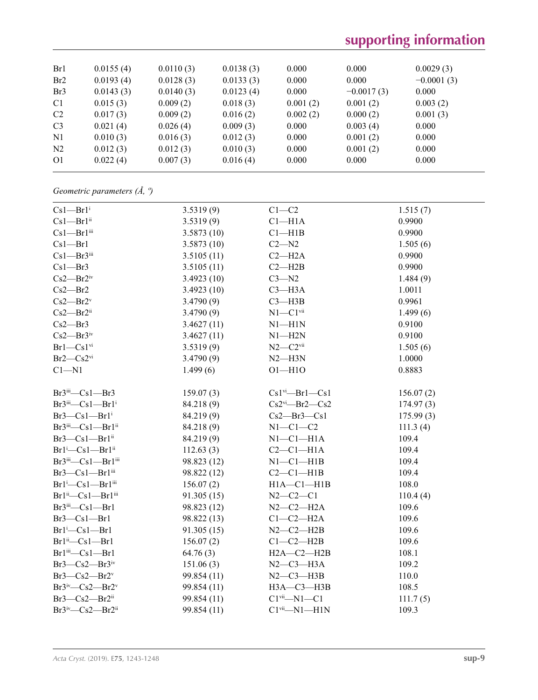| Br1             | 0.0155(4) | 0.0110(3) | 0.0138(3) | 0.000    | 0.000        | 0.0029(3)    |
|-----------------|-----------|-----------|-----------|----------|--------------|--------------|
| Br2             | 0.0193(4) | 0.0128(3) | 0.0133(3) | 0.000    | 0.000        | $-0.0001(3)$ |
| Br <sub>3</sub> | 0.0143(3) | 0.0140(3) | 0.0123(4) | 0.000    | $-0.0017(3)$ | 0.000        |
| C <sub>1</sub>  | 0.015(3)  | 0.009(2)  | 0.018(3)  | 0.001(2) | 0.001(2)     | 0.003(2)     |
| C <sub>2</sub>  | 0.017(3)  | 0.009(2)  | 0.016(2)  | 0.002(2) | 0.000(2)     | 0.001(3)     |
| C <sub>3</sub>  | 0.021(4)  | 0.026(4)  | 0.009(3)  | 0.000    | 0.003(4)     | 0.000        |
| N <sub>1</sub>  | 0.010(3)  | 0.016(3)  | 0.012(3)  | 0.000    | 0.001(2)     | 0.000        |
| N <sub>2</sub>  | 0.012(3)  | 0.012(3)  | 0.010(3)  | 0.000    | 0.001(2)     | 0.000        |
| O <sub>1</sub>  | 0.022(4)  | 0.007(3)  | 0.016(4)  | 0.000    | 0.000        | 0.000        |
|                 |           |           |           |          |              |              |

*Geometric parameters (Å, º)*

| $Cs1 - Br1$ <sup>i</sup>                  | 3.5319(9)   | $C1-C2$                      | 1.515(7)  |  |
|-------------------------------------------|-------------|------------------------------|-----------|--|
| $Cs1 - Br1$ <sup>ii</sup>                 | 3.5319(9)   | $C1 - H1A$                   | 0.9900    |  |
| $Cs1 - Br1$ <sup>iii</sup>                | 3.5873(10)  | Cl—H1B                       | 0.9900    |  |
| $Cs1 - Br1$                               | 3.5873(10)  | $C2 - N2$                    | 1.505(6)  |  |
| $Cs1 - Br3$ <sup>iii</sup>                | 3.5105(11)  | $C2 - H2A$                   | 0.9900    |  |
| $Cs1 - Br3$                               | 3.5105(11)  | $C2 - H2B$                   | 0.9900    |  |
| $Cs2$ —Br $2^{iv}$                        | 3.4923(10)  | $C3 - N2$                    | 1.484(9)  |  |
| $Cs2 - Br2$                               | 3.4923(10)  | $C3 - H3A$                   | 1.0011    |  |
| $Cs2 - Br2v$                              | 3.4790(9)   | $C3 - H3B$                   | 0.9961    |  |
| $Cs2$ —Br $2$ <sup>ii</sup>               | 3.4790(9)   | $N1-C1$ <sup>vii</sup>       | 1.499(6)  |  |
| $Cs2$ —Br3                                | 3.4627(11)  | $N1 - H1N$                   | 0.9100    |  |
| $Cs2$ — $Br3$ <sup>iv</sup>               | 3.4627(11)  | $N1 - H2N$                   | 0.9100    |  |
| $Br1-Cs1vi$                               | 3.5319(9)   | $N2-C2$ <sup>vii</sup>       | 1.505(6)  |  |
| $Br2-Cs2vi$                               | 3.4790(9)   | $N2 - H3N$                   | 1.0000    |  |
| $C1 - N1$                                 | 1.499(6)    | $O1 - H1O$                   | 0.8883    |  |
| $Br3$ <sup>iii</sup> — $Cs1$ — $Br3$      | 159.07(3)   | $Cs1$ <sup>vi</sup> —Br1—Cs1 | 156.07(2) |  |
| Br3iii-Cs1-Br1i                           | 84.218 (9)  | $Cs2$ <sup>vi</sup> —Br2—Cs2 | 174.97(3) |  |
| $Br3-Cs1-Br1$ <sup>i</sup>                | 84.219 (9)  | $Cs2$ —Br3—Cs1               | 175.99(3) |  |
| Br3iii-Cs1-Br1ii                          | 84.218 (9)  | $N1-C1-C2$                   | 111.3(4)  |  |
| $Br3-Cs1-Br1$ <sup>ii</sup>               | 84.219 (9)  | $N1-C1-H1A$                  | 109.4     |  |
| $Br1^i$ -Cs1--Br1 <sup>ii</sup>           | 112.63(3)   | $C2-C1-H1A$                  | 109.4     |  |
| $Br3iii$ -Cs1-Br1 <sup>iii</sup>          | 98.823 (12) | $N1-C1-H1B$                  | 109.4     |  |
| $Br3-Cs1-Br1$ iii                         | 98.822 (12) | $C2-C1-H1B$                  | 109.4     |  |
| $Br1^i$ -Cs1-Br1ii                        | 156.07(2)   | $H1A - C1 - H1B$             | 108.0     |  |
| Br1 <sup>ii</sup> -Cs1-Br1 <sup>iii</sup> | 91.305(15)  | $N2 - C2 - C1$               | 110.4(4)  |  |
| $Br3$ <sup>iii</sup> — $Cs1$ — $Br1$      | 98.823 (12) | $N2-C2-H2A$                  | 109.6     |  |
| $Br3-Cs1-Br1$                             | 98.822 (13) | $Cl$ -C2-H2A                 | 109.6     |  |
| $Br1^i$ -Cs1--Br1                         | 91.305(15)  | $N2-C2-H2B$                  | 109.6     |  |
| $Br1ii$ -Cs1--Br1                         | 156.07(2)   | $C1-C2-H2B$                  | 109.6     |  |
| $Br1$ <sup>iii</sup> — $Cs1$ — $Br1$      | 64.76(3)    | $H2A-C2-H2B$                 | 108.1     |  |
| $Br3-Cs2-Br3$ iv                          | 151.06(3)   | $N2-C3-H3A$                  | 109.2     |  |
| $Br3-Cs2-Br2v$                            | 99.854 (11) | $N2-C3-H3B$                  | 110.0     |  |
| $Br3iv$ -Cs2- $Br2v$                      | 99.854 (11) | $H3A - C3 - H3B$             | 108.5     |  |
| $Br3-Cs2-Br2ii$                           | 99.854 (11) | $Clvii$ -N1- $Cl$            | 111.7(5)  |  |
| $Br3iv$ -Cs2--Br2 <sup>ii</sup>           | 99.854 (11) | $Clvii$ -N1-H1N              | 109.3     |  |
|                                           |             |                              |           |  |